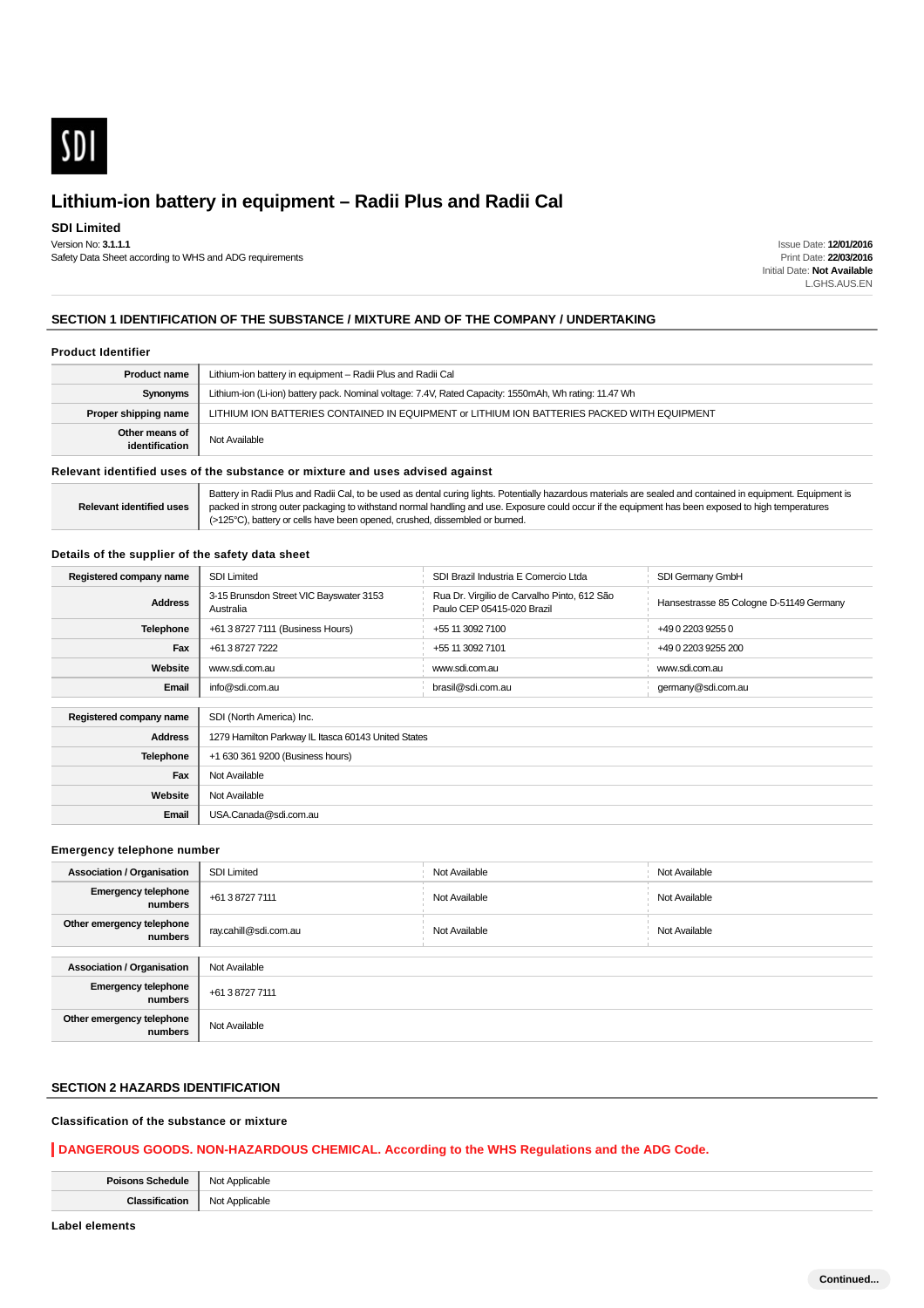

**SDI Limited**

Version No: **3.1.1.1** Safety Data Sheet according to WHS and ADG requirements

Issue Date: **12/01/2016** Print Date: **22/03/2016** Initial Date: **Not Available** L.GHS.AUS.EN

## **SECTION 1 IDENTIFICATION OF THE SUBSTANCE / MIXTURE AND OF THE COMPANY / UNDERTAKING**

#### **Product Identifier**

| <b>Product name</b>              | Lithium-ion battery in equipment - Radii Plus and Radii Cal                                            |
|----------------------------------|--------------------------------------------------------------------------------------------------------|
| Synonyms                         | Lithium-ion (Li-ion) battery pack. Nominal voltage: 7.4V, Rated Capacity: 1550mAh, Wh rating: 11.47 Wh |
| Proper shipping name             | LITHIUM ION BATTERIES CONTAINED IN EQUIPMENT or LITHIUM ION BATTERIES PACKED WITH EQUIPMENT            |
| Other means of<br>identification | Not Available                                                                                          |

#### **Relevant identified uses of the substance or mixture and uses advised against**

| <b>Relevant identified uses</b> | Battery in Radii Plus and Radii Cal, to be used as dental curing lights. Potentially hazardous materials are sealed and contained in equipment. Equipment is<br>packed in strong outer packaging to withstand normal handling and use. Exposure could occur if the equipment has been exposed to high temperatures<br>(>125°C), battery or cells have been opened, crushed, dissembled or burned. |
|---------------------------------|---------------------------------------------------------------------------------------------------------------------------------------------------------------------------------------------------------------------------------------------------------------------------------------------------------------------------------------------------------------------------------------------------|
|---------------------------------|---------------------------------------------------------------------------------------------------------------------------------------------------------------------------------------------------------------------------------------------------------------------------------------------------------------------------------------------------------------------------------------------------|

## **Details of the supplier of the safety data sheet**

| Registered company name | <b>SDI Limited</b>                                   | SDI Brazil Industria E Comercio Ltda                                      | SDI Germany GmbH                        |
|-------------------------|------------------------------------------------------|---------------------------------------------------------------------------|-----------------------------------------|
| <b>Address</b>          | 3-15 Brunsdon Street VIC Bayswater 3153<br>Australia | Rua Dr. Virgilio de Carvalho Pinto, 612 São<br>Paulo CEP 05415-020 Brazil | Hansestrasse 85 Cologne D-51149 Germany |
| <b>Telephone</b>        | +61 3 8727 7111 (Business Hours)                     | +55 11 3092 7100                                                          | +49 0 2203 9255 0                       |
| Fax                     | +61 3 8727 7222                                      | +55 11 3092 7101                                                          | +49 0 2203 9255 200                     |
| Website                 | www.sdi.com.au                                       | www.sdi.com.au                                                            | www.sdi.com.au                          |
| Email                   | info@sdi.com.au                                      | brasil@sdi.com.au                                                         | germany@sdi.com.au                      |
|                         |                                                      |                                                                           |                                         |
| Registered company name | SDI (North America) Inc.                             |                                                                           |                                         |
| <b>Address</b>          | 1279 Hamilton Parkway IL Itasca 60143 United States  |                                                                           |                                         |
| Telephone               | +1 630 361 9200 (Business hours)                     |                                                                           |                                         |
| Fax                     | Not Available                                        |                                                                           |                                         |
| Website                 | Not Available                                        |                                                                           |                                         |
| Email                   | USA.Canada@sdi.com.au                                |                                                                           |                                         |

#### **Emergency telephone number**

| <b>Association / Organisation</b>     | <b>SDI Limited</b>    | Not Available | Not Available |
|---------------------------------------|-----------------------|---------------|---------------|
| <b>Emergency telephone</b><br>numbers | +61 3 8727 7111       | Not Available | Not Available |
| Other emergency telephone<br>numbers  | ray.cahill@sdi.com.au | Not Available | Not Available |
|                                       |                       |               |               |
| <b>Association / Organisation</b>     | Not Available         |               |               |
| <b>Emergency telephone</b><br>numbers | +61 3 8727 7111       |               |               |
| Other emergency telephone<br>numbers  | Not Available         |               |               |

## **SECTION 2 HAZARDS IDENTIFICATION**

## **Classification of the substance or mixture**

#### **DANGEROUS GOODS. NON-HAZARDOUS CHEMICAL. According to the WHS Regulations and the ADG Code.**

| $\sim$ |
|--------|
|        |

**Label elements**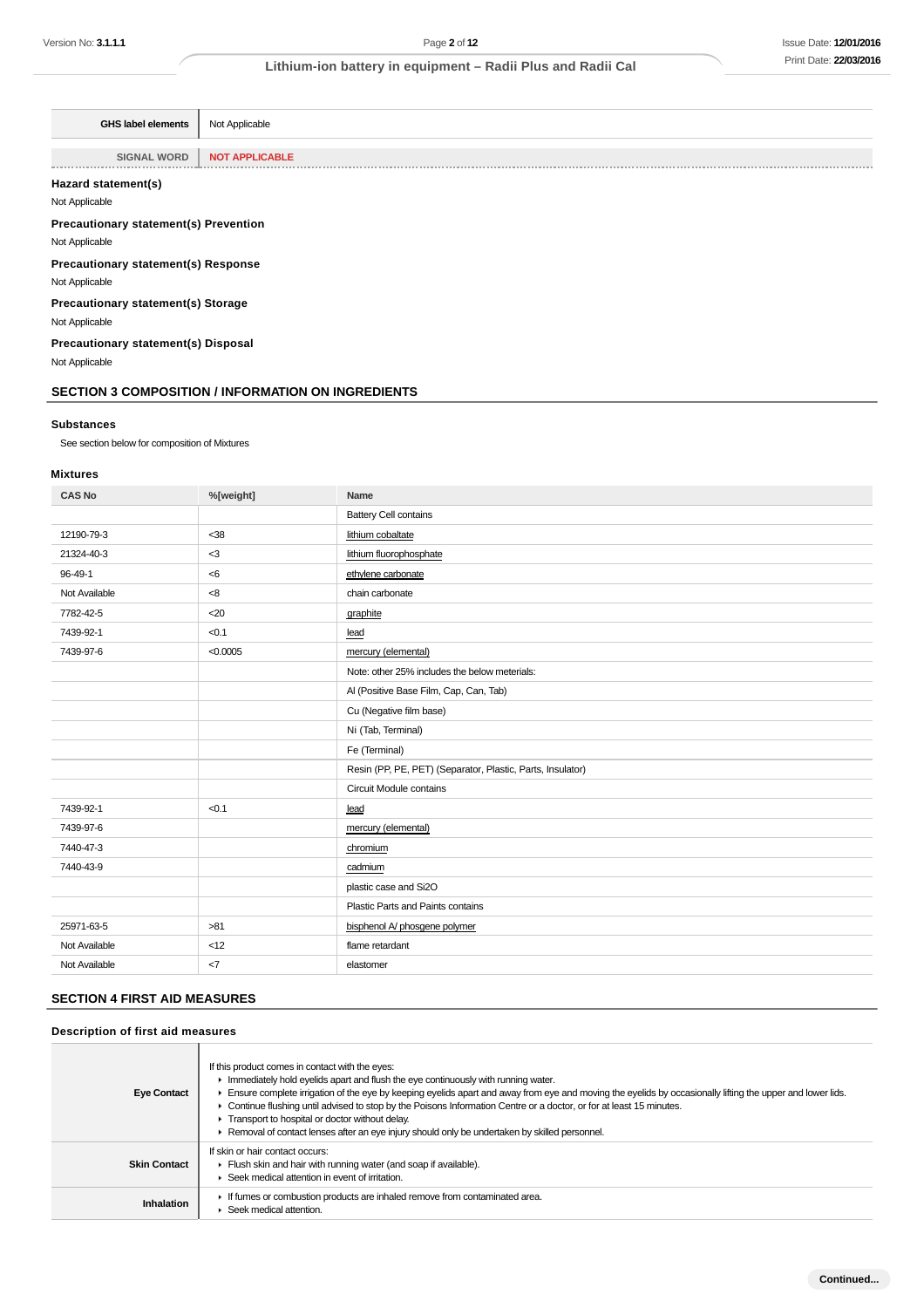| <b>GHS label elements</b>                    | Not Applicable        |
|----------------------------------------------|-----------------------|
|                                              |                       |
| <b>SIGNAL WORD</b>                           | <b>NOT APPLICABLE</b> |
|                                              |                       |
| Hazard statement(s)                          |                       |
| Not Applicable                               |                       |
| <b>Precautionary statement(s) Prevention</b> |                       |

Not Applicable

**Precautionary statement(s) Response**

Not Applicable

**Precautionary statement(s) Storage**

Not Applicable

**Precautionary statement(s) Disposal**

Not Applicable

## **SECTION 3 COMPOSITION / INFORMATION ON INGREDIENTS**

#### **Substances**

See section below for composition of Mixtures

#### **Mixtures**

| <b>CAS No</b> | %[weight] | Name                                                       |
|---------------|-----------|------------------------------------------------------------|
|               |           | <b>Battery Cell contains</b>                               |
| 12190-79-3    | <38       | lithium cobaltate                                          |
| 21324-40-3    | $<$ 3     | lithium fluorophosphate                                    |
| 96-49-1       | < 6       | ethylene carbonate                                         |
| Not Available | $<8$      | chain carbonate                                            |
| 7782-42-5     | $20$      | graphite                                                   |
| 7439-92-1     | < 0.1     | lead                                                       |
| 7439-97-6     | < 0.0005  | mercury (elemental)                                        |
|               |           | Note: other 25% includes the below meterials:              |
|               |           | Al (Positive Base Film, Cap, Can, Tab)                     |
|               |           | Cu (Negative film base)                                    |
|               |           | Ni (Tab, Terminal)                                         |
|               |           | Fe (Terminal)                                              |
|               |           | Resin (PP, PE, PET) (Separator, Plastic, Parts, Insulator) |
|               |           | Circuit Module contains                                    |
| 7439-92-1     | < 0.1     | lead                                                       |
| 7439-97-6     |           | mercury (elemental)                                        |
| 7440-47-3     |           | chromium                                                   |
| 7440-43-9     |           | cadmium                                                    |
|               |           | plastic case and Si2O                                      |
|               |           | Plastic Parts and Paints contains                          |
| 25971-63-5    | >81       | bisphenol A/ phosgene polymer                              |
| Not Available | <12       | flame retardant                                            |
| Not Available | <7        | elastomer                                                  |

## **SECTION 4 FIRST AID MEASURES**

## **Description of first aid measures**

| <b>Eye Contact</b>  | If this product comes in contact with the eyes:<br>Immediately hold eyelids apart and flush the eye continuously with running water.<br>Ensure complete irrigation of the eye by keeping eyelids apart and away from eye and moving the eyelids by occasionally lifting the upper and lower lids.<br>► Continue flushing until advised to stop by the Poisons Information Centre or a doctor, or for at least 15 minutes.<br>Transport to hospital or doctor without delay.<br>Removal of contact lenses after an eye injury should only be undertaken by skilled personnel. |
|---------------------|------------------------------------------------------------------------------------------------------------------------------------------------------------------------------------------------------------------------------------------------------------------------------------------------------------------------------------------------------------------------------------------------------------------------------------------------------------------------------------------------------------------------------------------------------------------------------|
| <b>Skin Contact</b> | If skin or hair contact occurs:<br>Flush skin and hair with running water (and soap if available).<br>Seek medical attention in event of irritation.                                                                                                                                                                                                                                                                                                                                                                                                                         |
| Inhalation          | If fumes or combustion products are inhaled remove from contaminated area.<br>Seek medical attention.                                                                                                                                                                                                                                                                                                                                                                                                                                                                        |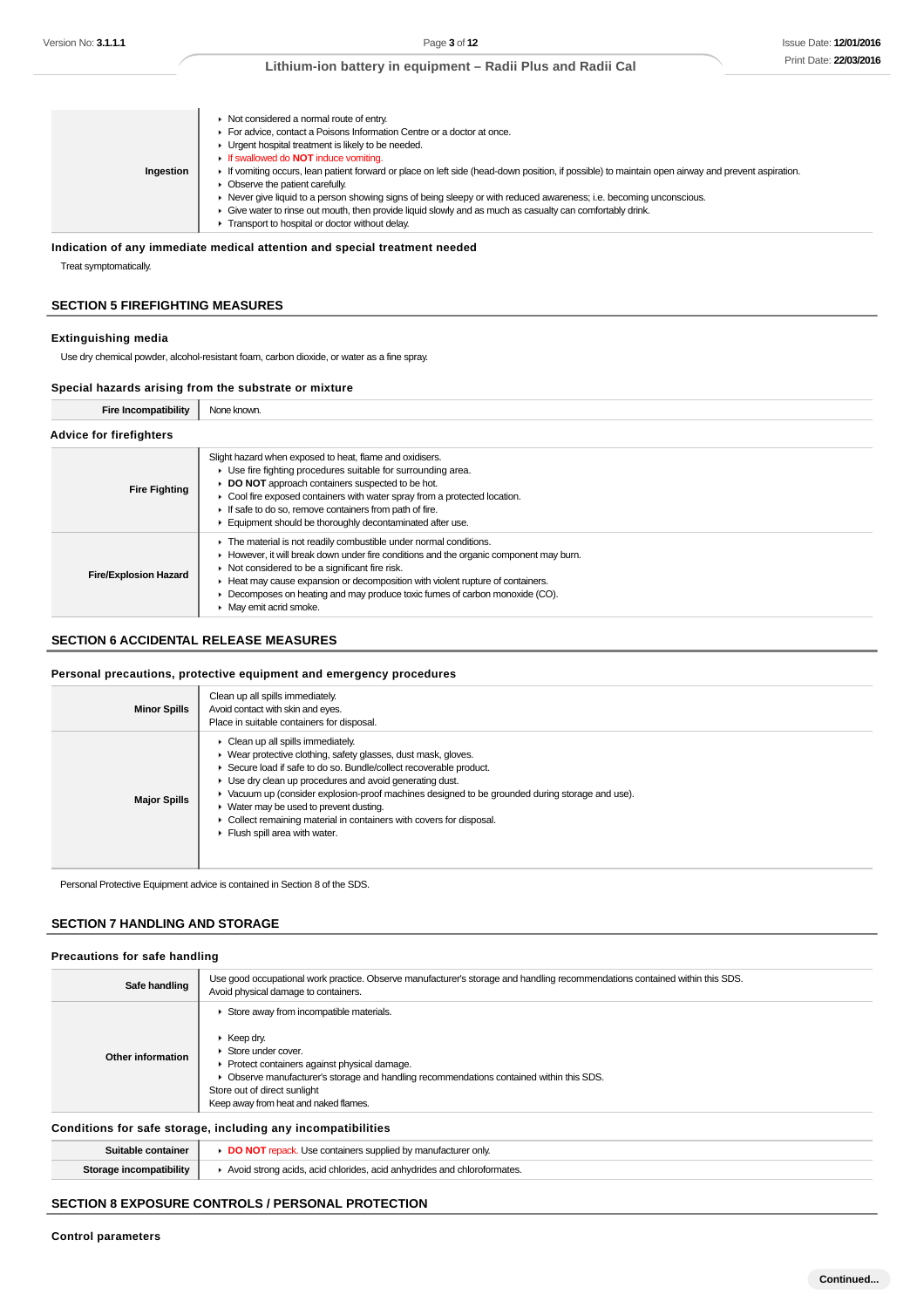| Ingestion | • Not considered a normal route of entry.<br>For advice, contact a Poisons Information Centre or a doctor at once.<br>• Urgent hospital treatment is likely to be needed.<br>If swallowed do <b>NOT</b> induce vomiting.<br>If vomiting occurs, lean patient forward or place on left side (head-down position, if possible) to maintain open airway and prevent aspiration.<br>$\triangleright$ Observe the patient carefully.<br>▶ Never give liquid to a person showing signs of being sleepy or with reduced awareness; i.e. becoming unconscious.<br>► Give water to rinse out mouth, then provide liquid slowly and as much as casualty can comfortably drink.<br>Transport to hospital or doctor without delay. |
|-----------|------------------------------------------------------------------------------------------------------------------------------------------------------------------------------------------------------------------------------------------------------------------------------------------------------------------------------------------------------------------------------------------------------------------------------------------------------------------------------------------------------------------------------------------------------------------------------------------------------------------------------------------------------------------------------------------------------------------------|
|-----------|------------------------------------------------------------------------------------------------------------------------------------------------------------------------------------------------------------------------------------------------------------------------------------------------------------------------------------------------------------------------------------------------------------------------------------------------------------------------------------------------------------------------------------------------------------------------------------------------------------------------------------------------------------------------------------------------------------------------|

# **Indication of any immediate medical attention and special treatment needed**

Treat symptomatically.

#### **SECTION 5 FIREFIGHTING MEASURES**

#### **Extinguishing media**

Use dry chemical powder, alcohol-resistant foam, carbon dioxide, or water as a fine spray.

#### **Special hazards arising from the substrate or mixture**

| <b>Fire Incompatibility</b>    | None known.                                                                                                                                                                                                                                                                                                                                                                                              |  |
|--------------------------------|----------------------------------------------------------------------------------------------------------------------------------------------------------------------------------------------------------------------------------------------------------------------------------------------------------------------------------------------------------------------------------------------------------|--|
| <b>Advice for firefighters</b> |                                                                                                                                                                                                                                                                                                                                                                                                          |  |
| <b>Fire Fighting</b>           | Slight hazard when exposed to heat, flame and oxidisers.<br>▶ Use fire fighting procedures suitable for surrounding area.<br>DO NOT approach containers suspected to be hot.<br>• Cool fire exposed containers with water spray from a protected location.<br>If safe to do so, remove containers from path of fire.<br>Equipment should be thoroughly decontaminated after use.                         |  |
| <b>Fire/Explosion Hazard</b>   | The material is not readily combustible under normal conditions.<br>► However, it will break down under fire conditions and the organic component may burn.<br>▶ Not considered to be a significant fire risk.<br>Heat may cause expansion or decomposition with violent rupture of containers.<br>Decomposes on heating and may produce toxic fumes of carbon monoxide (CO).<br>• May emit acrid smoke. |  |

#### **SECTION 6 ACCIDENTAL RELEASE MEASURES**

#### **Personal precautions, protective equipment and emergency procedures**

| <b>Minor Spills</b> | Clean up all spills immediately.<br>Avoid contact with skin and eyes.<br>Place in suitable containers for disposal.                                                                                                                                                                                                                                                                                                                                                                                                                                  |
|---------------------|------------------------------------------------------------------------------------------------------------------------------------------------------------------------------------------------------------------------------------------------------------------------------------------------------------------------------------------------------------------------------------------------------------------------------------------------------------------------------------------------------------------------------------------------------|
| <b>Major Spills</b> | $\triangleright$ Clean up all spills immediately.<br>▶ Wear protective clothing, safety glasses, dust mask, gloves.<br>Secure load if safe to do so. Bundle/collect recoverable product.<br>• Use dry clean up procedures and avoid generating dust.<br>► Vacuum up (consider explosion-proof machines designed to be grounded during storage and use).<br>$\blacktriangleright$ Water may be used to prevent dusting.<br>• Collect remaining material in containers with covers for disposal.<br>$\blacktriangleright$ Flush spill area with water. |

Personal Protective Equipment advice is contained in Section 8 of the SDS.

#### **SECTION 7 HANDLING AND STORAGE**

#### **Precautions for safe handling**

| Safe handling                                                | Use good occupational work practice. Observe manufacturer's storage and handling recommendations contained within this SDS.<br>Avoid physical damage to containers.                                                                                                                                                  |  |
|--------------------------------------------------------------|----------------------------------------------------------------------------------------------------------------------------------------------------------------------------------------------------------------------------------------------------------------------------------------------------------------------|--|
| Other information                                            | Store away from incompatible materials.<br>$\blacktriangleright$ Keep drv.<br>Store under cover.<br>▶ Protect containers against physical damage.<br>Observe manufacturer's storage and handling recommendations contained within this SDS.<br>Store out of direct sunlight<br>Keep away from heat and naked flames. |  |
| Conditions for safe storage, including any incompatibilities |                                                                                                                                                                                                                                                                                                                      |  |

|                  | ∣e≙<br>oniv                                                                 |
|------------------|-----------------------------------------------------------------------------|
| 5to<br>tibility. | <u>`^hinridae</u><br><b>AVOIC</b><br>200<br>ormates.<br>$n \cdot$<br>dridac |

## **SECTION 8 EXPOSURE CONTROLS / PERSONAL PROTECTION**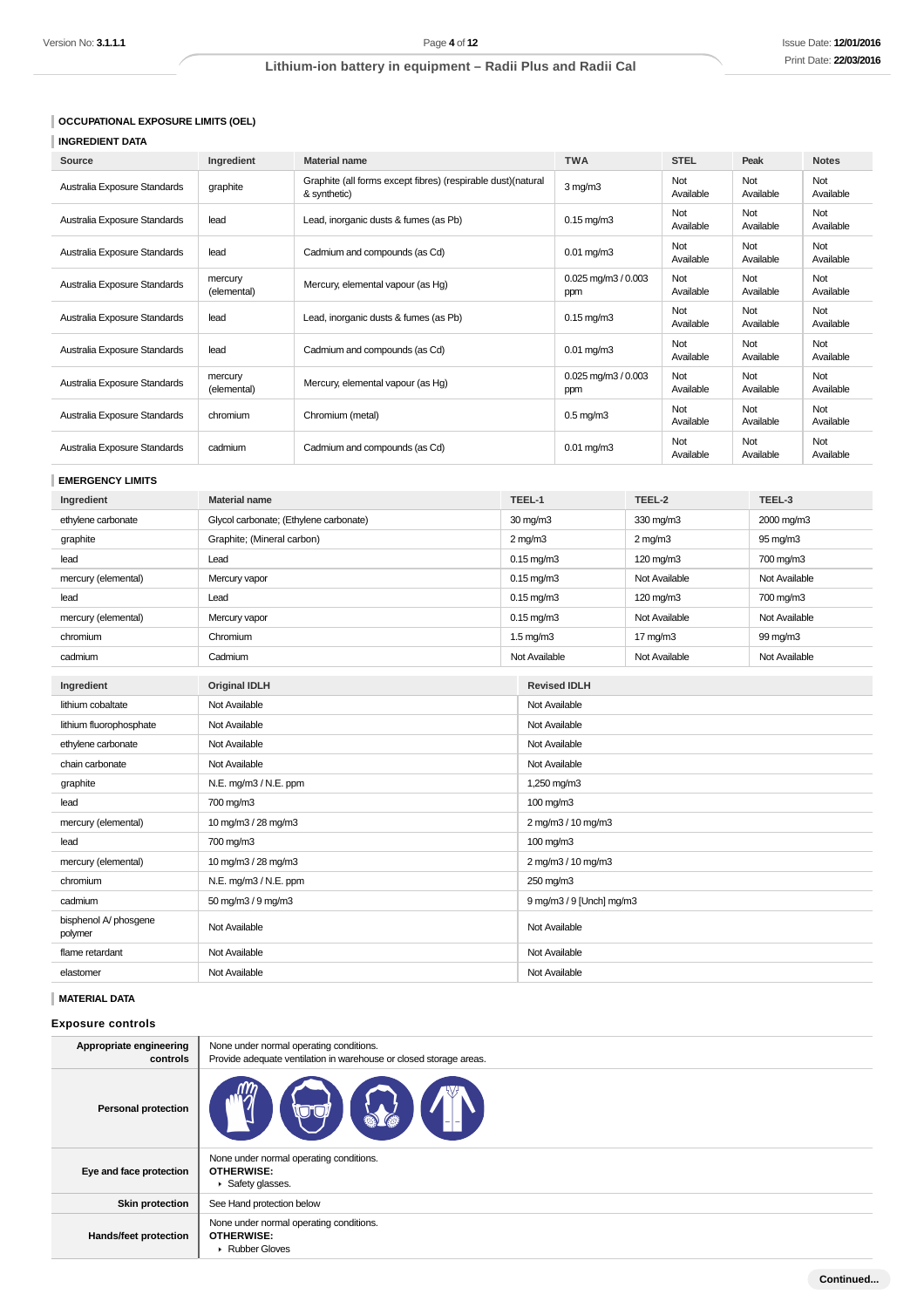## **OCCUPATIONAL EXPOSURE LIMITS (OEL)**

# **INGREDIENT DATA**

| Source                       | Ingredient             | <b>Material name</b>                                                          | <b>TWA</b>                    | <b>STEL</b>      | Peak             | <b>Notes</b>     |
|------------------------------|------------------------|-------------------------------------------------------------------------------|-------------------------------|------------------|------------------|------------------|
| Australia Exposure Standards | graphite               | Graphite (all forms except fibres) (respirable dust) (natural<br>& synthetic) | $3$ mg/m $3$                  | Not<br>Available | Not<br>Available | Not<br>Available |
| Australia Exposure Standards | lead                   | Lead, inorganic dusts & fumes (as Pb)                                         | $0.15$ mg/m $3$               | Not<br>Available | Not<br>Available | Not<br>Available |
| Australia Exposure Standards | lead                   | Cadmium and compounds (as Cd)                                                 | $0.01$ mg/m $3$               | Not<br>Available | Not<br>Available | Not<br>Available |
| Australia Exposure Standards | mercury<br>(elemental) | Mercury, elemental vapour (as Hg)                                             | $0.025$ mg/m $3/0.003$<br>ppm | Not<br>Available | Not<br>Available | Not<br>Available |
| Australia Exposure Standards | lead                   | Lead, inorganic dusts & fumes (as Pb)                                         | $0.15$ mg/m $3$               | Not<br>Available | Not<br>Available | Not<br>Available |
| Australia Exposure Standards | lead                   | Cadmium and compounds (as Cd)                                                 | $0.01$ mg/m $3$               | Not<br>Available | Not<br>Available | Not<br>Available |
| Australia Exposure Standards | mercury<br>(elemental) | Mercury, elemental vapour (as Hg)                                             | $0.025$ mg/m $3/0.003$<br>ppm | Not<br>Available | Not<br>Available | Not<br>Available |
| Australia Exposure Standards | chromium               | Chromium (metal)                                                              | $0.5$ mg/m $3$                | Not<br>Available | Not<br>Available | Not<br>Available |
| Australia Exposure Standards | cadmium                | Cadmium and compounds (as Cd)                                                 | $0.01$ mg/m $3$               | Not<br>Available | Not<br>Available | Not<br>Available |

## **EMERGENCY LIMITS**

| Ingredient                       | <b>Material name</b>                   |  | TEEL-1                   | TEEL-2              | TEEL-3        |
|----------------------------------|----------------------------------------|--|--------------------------|---------------------|---------------|
| ethylene carbonate               | Glycol carbonate; (Ethylene carbonate) |  | 30 mg/m3                 | 330 mg/m3           | 2000 mg/m3    |
| graphite                         | Graphite; (Mineral carbon)             |  | $2$ mg/m $3$             | $2$ mg/m $3$        | 95 mg/m3      |
| lead                             | Lead                                   |  | $0.15$ mg/m $3$          | 120 mg/m3           | 700 mg/m3     |
| mercury (elemental)              | Mercury vapor                          |  | $0.15$ mg/m $3$          | Not Available       | Not Available |
| lead                             | Lead                                   |  | $0.15$ mg/m $3$          | 120 mg/m3           | 700 mg/m3     |
| mercury (elemental)              | Mercury vapor                          |  | $0.15$ mg/m $3$          | Not Available       | Not Available |
| chromium                         | Chromium                               |  | $1.5 \text{ mg/m}$ 3     | $17 \text{ mg/m}$ 3 | 99 mg/m3      |
| cadmium                          | Cadmium                                |  | Not Available            | Not Available       | Not Available |
| Ingredient                       | <b>Original IDLH</b>                   |  | <b>Revised IDLH</b>      |                     |               |
| lithium cobaltate                | Not Available                          |  | Not Available            |                     |               |
| lithium fluorophosphate          | Not Available                          |  | Not Available            |                     |               |
| ethylene carbonate               | Not Available                          |  | Not Available            |                     |               |
| chain carbonate                  | Not Available                          |  | Not Available            |                     |               |
| graphite                         | N.E. mg/m3 / N.E. ppm                  |  | 1,250 mg/m3              |                     |               |
| lead                             | 700 mg/m3                              |  | 100 mg/m3                |                     |               |
| mercury (elemental)              | 10 mg/m3 / 28 mg/m3                    |  | 2 mg/m3 / 10 mg/m3       |                     |               |
| lead                             | 700 mg/m3                              |  | 100 mg/m3                |                     |               |
| mercury (elemental)              | 10 mg/m3 / 28 mg/m3                    |  | 2 mg/m3 / 10 mg/m3       |                     |               |
| chromium                         | N.E. mg/m3 / N.E. ppm                  |  | 250 mg/m3                |                     |               |
| cadmium                          | 50 mg/m3 / 9 mg/m3                     |  | 9 mg/m3 / 9 [Unch] mg/m3 |                     |               |
| bisphenol A/ phosgene<br>polymer | Not Available                          |  | Not Available            |                     |               |
| flame retardant                  | Not Available                          |  | Not Available            |                     |               |
| elastomer                        | Not Available                          |  | Not Available            |                     |               |

## **MATERIAL DATA**

## **Exposure controls**

| Appropriate engineering<br>controls | None under normal operating conditions.<br>Provide adequate ventilation in warehouse or closed storage areas. |
|-------------------------------------|---------------------------------------------------------------------------------------------------------------|
| <b>Personal protection</b>          |                                                                                                               |
| Eye and face protection             | None under normal operating conditions.<br><b>OTHERWISE:</b><br>Safety glasses.                               |
| <b>Skin protection</b>              | See Hand protection below                                                                                     |
| Hands/feet protection               | None under normal operating conditions.<br><b>OTHERWISE:</b><br>▶ Rubber Gloves                               |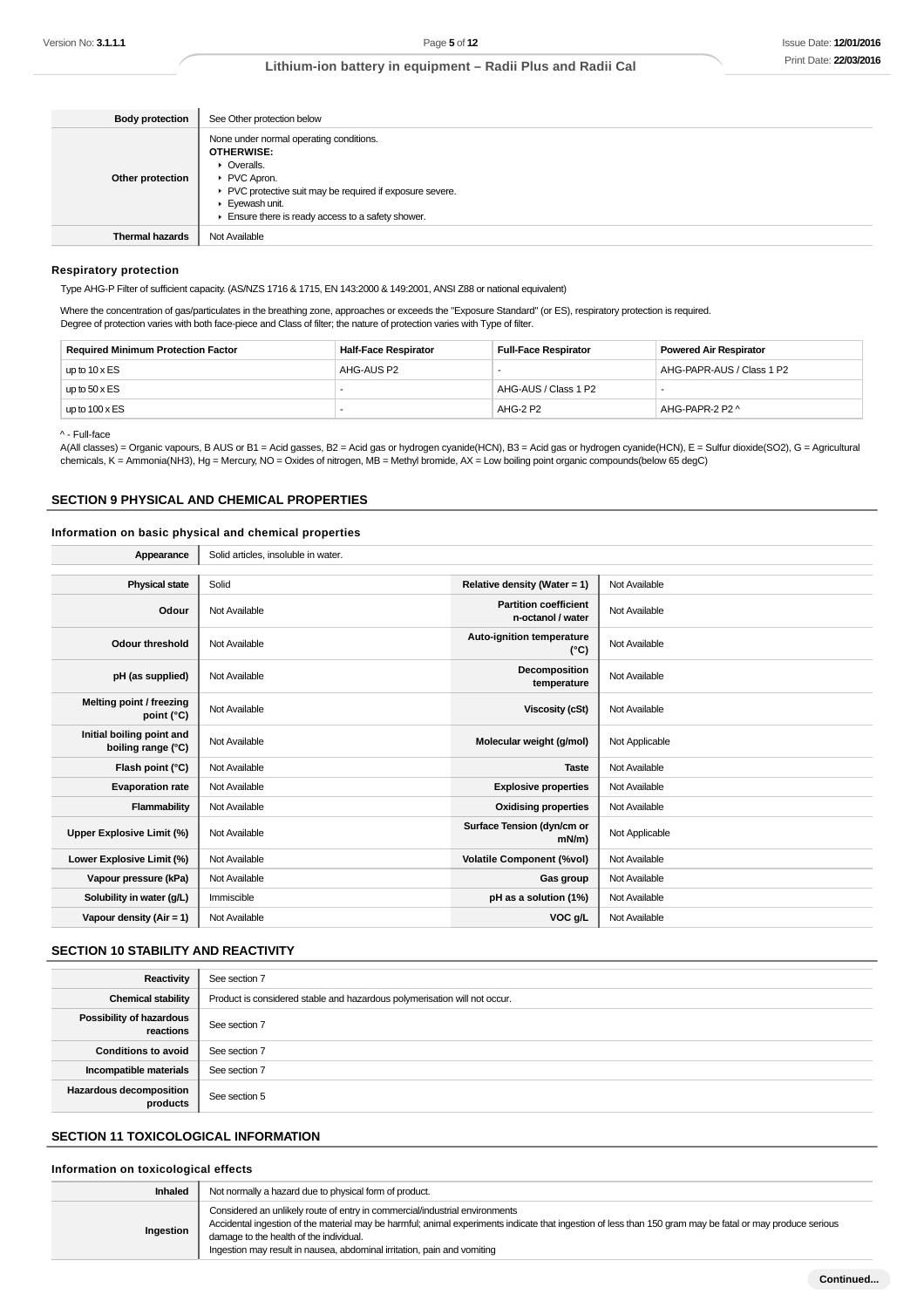| <b>Body protection</b> | See Other protection below                                                                                                                                                                                                                                              |
|------------------------|-------------------------------------------------------------------------------------------------------------------------------------------------------------------------------------------------------------------------------------------------------------------------|
| Other protection       | None under normal operating conditions.<br><b>OTHERWISE:</b><br>• Overalls.<br>PVC Apron.<br>▶ PVC protective suit may be required if exposure severe.<br>$\blacktriangleright$ Eyewash unit.<br>$\blacktriangleright$ Ensure there is ready access to a safety shower. |
| <b>Thermal hazards</b> | Not Available                                                                                                                                                                                                                                                           |

#### **Respiratory protection**

Type AHG-P Filter of sufficient capacity. (AS/NZS 1716 & 1715, EN 143:2000 & 149:2001, ANSI Z88 or national equivalent)

Where the concentration of gas/particulates in the breathing zone, approaches or exceeds the "Exposure Standard" (or ES), respiratory protection is required. Degree of protection varies with both face-piece and Class of filter; the nature of protection varies with Type of filter.

| <b>Required Minimum Protection Factor</b> | <b>Half-Face Respirator</b> | <b>Full-Face Respirator</b> | <b>Powered Air Respirator</b> |
|-------------------------------------------|-----------------------------|-----------------------------|-------------------------------|
| up to $10 \times ES$                      | AHG-AUS P2                  |                             | AHG-PAPR-AUS / Class 1 P2     |
| up to $50 \times ES$                      |                             | AHG-AUS / Class 1 P2        |                               |
| up to $100 \times ES$                     |                             | AHG-2 P2                    | AHG-PAPR-2 P2 ^               |

^ - Full-face

A(All classes) = Organic vapours, B AUS or B1 = Acid gasses, B2 = Acid gas or hydrogen cyanide(HCN), B3 = Acid gas or hydrogen cyanide(HCN), E = Sulfur dioxide(SO2), G = Agricultural chemicals, K = Ammonia(NH3), Hg = Mercury, NO = Oxides of nitrogen, MB = Methyl bromide, AX = Low boiling point organic compounds(below 65 degC)

#### **SECTION 9 PHYSICAL AND CHEMICAL PROPERTIES**

#### **Information on basic physical and chemical properties**

| Appearance                                      | Solid articles, insoluble in water. |                                                   |                |
|-------------------------------------------------|-------------------------------------|---------------------------------------------------|----------------|
|                                                 |                                     |                                                   |                |
| <b>Physical state</b>                           | Solid                               | Relative density (Water = 1)                      | Not Available  |
| Odour                                           | Not Available                       | <b>Partition coefficient</b><br>n-octanol / water | Not Available  |
| <b>Odour threshold</b>                          | Not Available                       | Auto-ignition temperature<br>$(^{\circ}C)$        | Not Available  |
| pH (as supplied)                                | Not Available                       | Decomposition<br>temperature                      | Not Available  |
| Melting point / freezing<br>point (°C)          | Not Available                       | <b>Viscosity (cSt)</b>                            | Not Available  |
| Initial boiling point and<br>boiling range (°C) | Not Available                       | Molecular weight (g/mol)                          | Not Applicable |
| Flash point (°C)                                | Not Available                       | <b>Taste</b>                                      | Not Available  |
| <b>Evaporation rate</b>                         | Not Available                       | <b>Explosive properties</b>                       | Not Available  |
| Flammability                                    | Not Available                       | <b>Oxidising properties</b>                       | Not Available  |
| <b>Upper Explosive Limit (%)</b>                | Not Available                       | Surface Tension (dyn/cm or<br>$mN/m$ )            | Not Applicable |
| Lower Explosive Limit (%)                       | Not Available                       | <b>Volatile Component (%vol)</b>                  | Not Available  |
| Vapour pressure (kPa)                           | Not Available                       | Gas group                                         | Not Available  |
| Solubility in water (g/L)                       | Immiscible                          | pH as a solution (1%)                             | Not Available  |
| Vapour density $(Air = 1)$                      | Not Available                       | VOC g/L                                           | Not Available  |

### **SECTION 10 STABILITY AND REACTIVITY**

| Reactivity                                 | See section 7                                                             |
|--------------------------------------------|---------------------------------------------------------------------------|
| <b>Chemical stability</b>                  | Product is considered stable and hazardous polymerisation will not occur. |
| Possibility of hazardous<br>reactions      | See section 7                                                             |
| <b>Conditions to avoid</b>                 | See section 7                                                             |
| Incompatible materials                     | See section 7                                                             |
| <b>Hazardous decomposition</b><br>products | See section 5                                                             |

## **SECTION 11 TOXICOLOGICAL INFORMATION**

### **Information on toxicological effects**

| Inhaled   | Not normally a hazard due to physical form of product.                                                                                                                                                                                                                                                                                                         |
|-----------|----------------------------------------------------------------------------------------------------------------------------------------------------------------------------------------------------------------------------------------------------------------------------------------------------------------------------------------------------------------|
| Ingestion | Considered an unlikely route of entry in commercial/industrial environments<br>Accidental ingestion of the material may be harmful; animal experiments indicate that ingestion of less than 150 gram may be fatal or may produce serious<br>damage to the health of the individual.<br>Ingestion may result in nausea, abdominal irritation, pain and vomiting |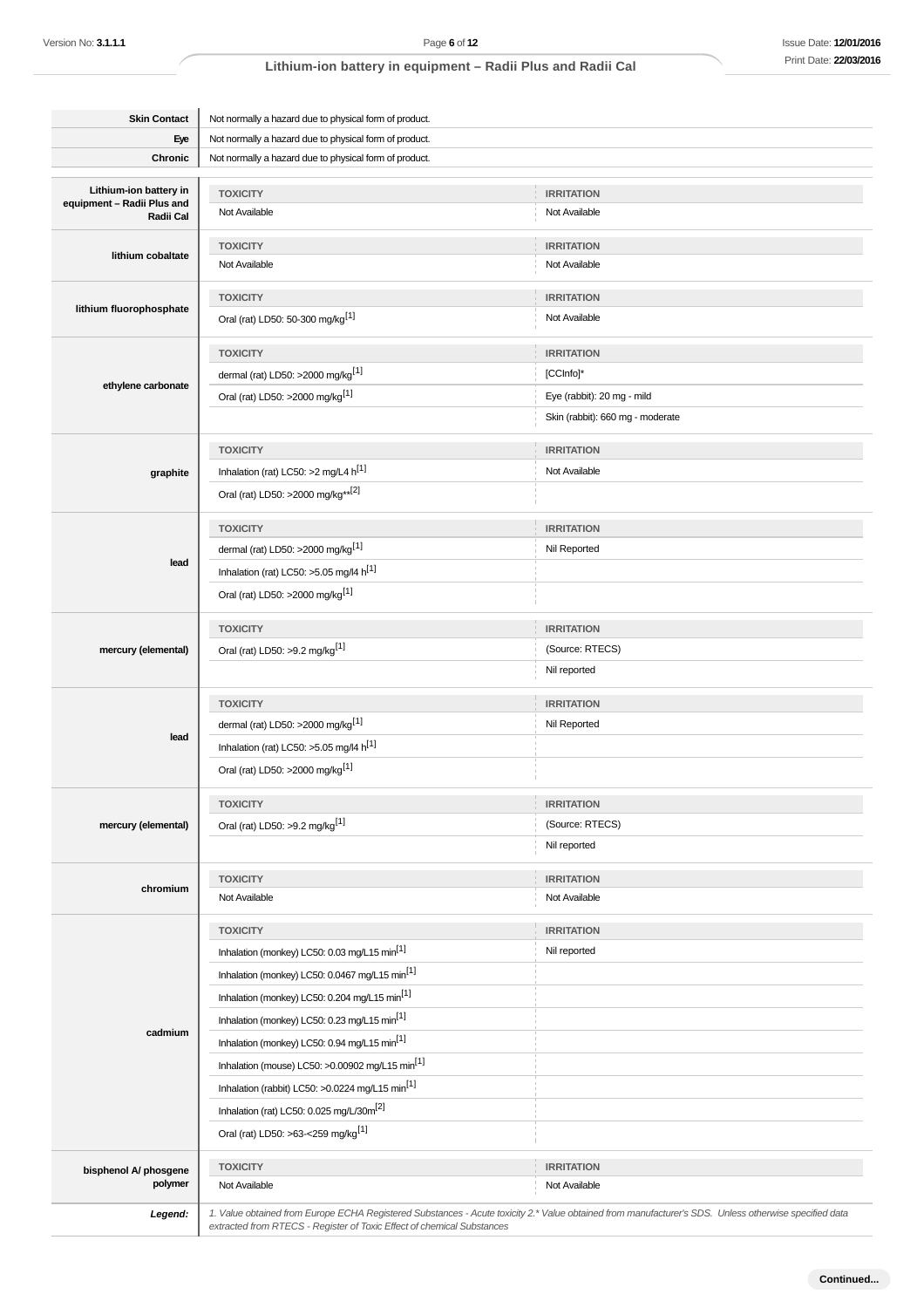| <b>Skin Contact</b>                     | Not normally a hazard due to physical form of product.                 |                                                                                                                                                       |  |  |
|-----------------------------------------|------------------------------------------------------------------------|-------------------------------------------------------------------------------------------------------------------------------------------------------|--|--|
| Eye                                     | Not normally a hazard due to physical form of product.                 |                                                                                                                                                       |  |  |
| Chronic                                 | Not normally a hazard due to physical form of product.                 |                                                                                                                                                       |  |  |
| Lithium-ion battery in                  | <b>TOXICITY</b>                                                        | <b>IRRITATION</b>                                                                                                                                     |  |  |
| equipment - Radii Plus and<br>Radii Cal | Not Available                                                          | Not Available                                                                                                                                         |  |  |
|                                         | <b>TOXICITY</b>                                                        | <b>IRRITATION</b>                                                                                                                                     |  |  |
| lithium cobaltate                       | Not Available                                                          | Not Available                                                                                                                                         |  |  |
|                                         |                                                                        |                                                                                                                                                       |  |  |
| lithium fluorophosphate                 | <b>TOXICITY</b>                                                        | <b>IRRITATION</b>                                                                                                                                     |  |  |
|                                         | Oral (rat) LD50: 50-300 mg/kg <sup>[1]</sup>                           | Not Available                                                                                                                                         |  |  |
|                                         | <b>TOXICITY</b>                                                        | <b>IRRITATION</b>                                                                                                                                     |  |  |
| ethylene carbonate                      | dermal (rat) LD50: >2000 mg/kg <sup>[1]</sup>                          | [CCInfo]*                                                                                                                                             |  |  |
|                                         | Oral (rat) LD50: >2000 mg/kg <sup>[1]</sup>                            | Eye (rabbit): 20 mg - mild                                                                                                                            |  |  |
|                                         |                                                                        | Skin (rabbit): 660 mg - moderate                                                                                                                      |  |  |
|                                         | <b>TOXICITY</b>                                                        | <b>IRRITATION</b>                                                                                                                                     |  |  |
| graphite                                | Inhalation (rat) LC50: >2 mg/L4 $h^{[1]}$                              | Not Available                                                                                                                                         |  |  |
|                                         | Oral (rat) LD50: >2000 mg/kg**[2]                                      |                                                                                                                                                       |  |  |
|                                         | <b>TOXICITY</b>                                                        | <b>IRRITATION</b>                                                                                                                                     |  |  |
|                                         | dermal (rat) LD50: >2000 mg/kg <sup>[1]</sup>                          | Nil Reported                                                                                                                                          |  |  |
| lead                                    | Inhalation (rat) LC50: >5.05 mg/l4 h <sup>[1]</sup>                    |                                                                                                                                                       |  |  |
|                                         | Oral (rat) LD50: >2000 mg/kg <sup>[1]</sup>                            |                                                                                                                                                       |  |  |
|                                         |                                                                        |                                                                                                                                                       |  |  |
|                                         | <b>TOXICITY</b>                                                        | <b>IRRITATION</b>                                                                                                                                     |  |  |
| mercury (elemental)                     | Oral (rat) LD50: >9.2 mg/kg <sup>[1]</sup>                             | (Source: RTECS)                                                                                                                                       |  |  |
|                                         |                                                                        | Nil reported                                                                                                                                          |  |  |
|                                         | <b>TOXICITY</b>                                                        | <b>IRRITATION</b>                                                                                                                                     |  |  |
| lead                                    | dermal (rat) LD50: >2000 mg/kg <sup>[1]</sup>                          | Nil Reported                                                                                                                                          |  |  |
|                                         | Inhalation (rat) LC50: >5.05 mg/l4 h <sup>[1]</sup>                    |                                                                                                                                                       |  |  |
|                                         | Oral (rat) LD50: >2000 mg/kg <sup>[1]</sup>                            |                                                                                                                                                       |  |  |
|                                         | <b>TOXICITY</b>                                                        | <b>IRRITATION</b>                                                                                                                                     |  |  |
| mercury (elemental)                     | Oral (rat) LD50: >9.2 mg/kg <sup>[1]</sup>                             | (Source: RTECS)                                                                                                                                       |  |  |
|                                         |                                                                        | Nil reported                                                                                                                                          |  |  |
|                                         | <b>TOXICITY</b>                                                        | <b>IRRITATION</b>                                                                                                                                     |  |  |
| chromium                                | Not Available                                                          | Not Available                                                                                                                                         |  |  |
|                                         | <b>TOXICITY</b>                                                        | <b>IRRITATION</b>                                                                                                                                     |  |  |
|                                         | Inhalation (monkey) LC50: 0.03 mg/L15 min <sup>[1]</sup>               | Nil reported                                                                                                                                          |  |  |
|                                         | Inhalation (monkey) LC50: 0.0467 mg/L15 min <sup>[1]</sup>             |                                                                                                                                                       |  |  |
|                                         | Inhalation (monkey) LC50: 0.204 mg/L15 min <sup>[1]</sup>              |                                                                                                                                                       |  |  |
|                                         | Inhalation (monkey) LC50: 0.23 mg/L15 min <sup>[1]</sup>               |                                                                                                                                                       |  |  |
| cadmium                                 | Inhalation (monkey) LC50: 0.94 mg/L15 min <sup>[1]</sup>               |                                                                                                                                                       |  |  |
|                                         | Inhalation (mouse) LC50: >0.00902 mg/L15 min <sup>[1]</sup>            |                                                                                                                                                       |  |  |
|                                         | Inhalation (rabbit) LC50: >0.0224 mg/L15 min <sup>[1]</sup>            |                                                                                                                                                       |  |  |
|                                         | Inhalation (rat) LC50: 0.025 mg/L/30m <sup>[2]</sup>                   |                                                                                                                                                       |  |  |
|                                         | Oral (rat) LD50: >63-<259 mg/kg <sup>[1]</sup>                         |                                                                                                                                                       |  |  |
|                                         | <b>TOXICITY</b>                                                        | <b>IRRITATION</b>                                                                                                                                     |  |  |
| bisphenol A/ phosgene<br>polymer        | Not Available                                                          | Not Available                                                                                                                                         |  |  |
|                                         |                                                                        | 1. Value obtained from Europe ECHA Registered Substances - Acute toxicity 2.* Value obtained from manufacturer's SDS. Unless otherwise specified data |  |  |
| Legend:                                 | extracted from RTECS - Register of Toxic Effect of chemical Substances |                                                                                                                                                       |  |  |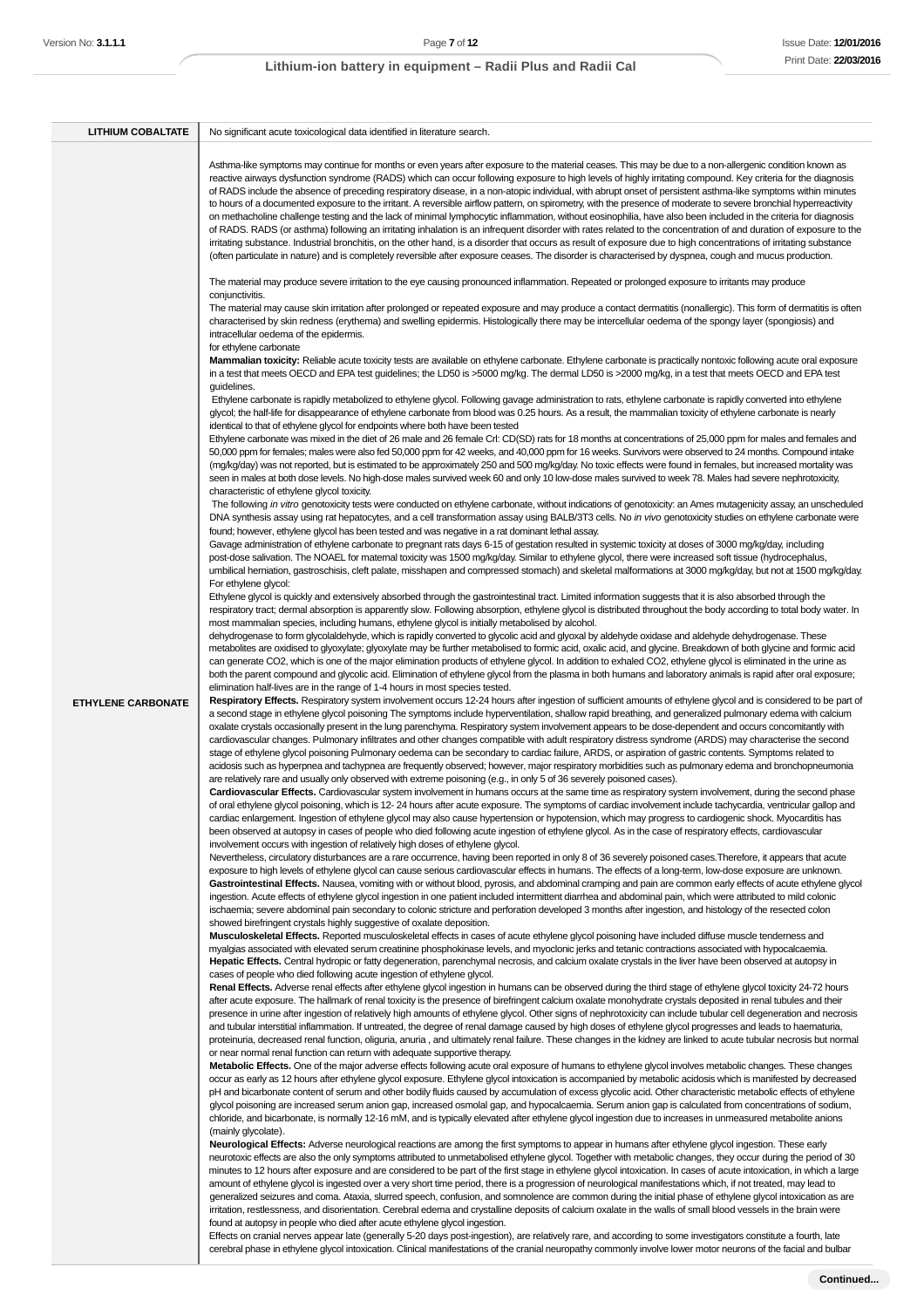| <b>LITHIUM COBALTATE</b>  | No significant acute toxicological data identified in literature search.                                                                                                                                                                                                                                                                                                                                                                                                                                                                                                                                                                                                                                                                                                                                                                                                                                                                                                                                                                                                                                                                                                                                                                                                                                                                                                                                                                                                                                                                                                                                                                                                         |
|---------------------------|----------------------------------------------------------------------------------------------------------------------------------------------------------------------------------------------------------------------------------------------------------------------------------------------------------------------------------------------------------------------------------------------------------------------------------------------------------------------------------------------------------------------------------------------------------------------------------------------------------------------------------------------------------------------------------------------------------------------------------------------------------------------------------------------------------------------------------------------------------------------------------------------------------------------------------------------------------------------------------------------------------------------------------------------------------------------------------------------------------------------------------------------------------------------------------------------------------------------------------------------------------------------------------------------------------------------------------------------------------------------------------------------------------------------------------------------------------------------------------------------------------------------------------------------------------------------------------------------------------------------------------------------------------------------------------|
|                           | Asthma-like symptoms may continue for months or even years after exposure to the material ceases. This may be due to a non-allergenic condition known as<br>reactive airways dysfunction syndrome (RADS) which can occur following exposure to high levels of highly irritating compound. Key criteria for the diagnosis<br>of RADS include the absence of preceding respiratory disease, in a non-atopic individual, with abrupt onset of persistent asthma-like symptoms within minutes<br>to hours of a documented exposure to the irritant. A reversible airflow pattern, on spirometry, with the presence of moderate to severe bronchial hyperreactivity<br>on methacholine challenge testing and the lack of minimal lymphocytic inflammation, without eosinophilia, have also been included in the criteria for diagnosis<br>of RADS. RADS (or asthma) following an irritating inhalation is an infrequent disorder with rates related to the concentration of and duration of exposure to the<br>irritating substance. Industrial bronchitis, on the other hand, is a disorder that occurs as result of exposure due to high concentrations of irritating substance<br>(often particulate in nature) and is completely reversible after exposure ceases. The disorder is characterised by dyspnea, cough and mucus production.<br>The material may produce severe irritation to the eye causing pronounced inflammation. Repeated or prolonged exposure to irritants may produce<br>conjunctivitis.<br>The material may cause skin irritation after prolonged or repeated exposure and may produce a contact dermatitis (nonallergic). This form of dermatitis is often |
|                           | characterised by skin redness (erythema) and swelling epidermis. Histologically there may be intercellular oedema of the spongy layer (spongiosis) and<br>intracellular oedema of the epidermis.<br>for ethylene carbonate<br>Mammalian toxicity: Reliable acute toxicity tests are available on ethylene carbonate. Ethylene carbonate is practically nontoxic following acute oral exposure<br>in a test that meets OECD and EPA test guidelines; the LD50 is >5000 mg/kg. The dermal LD50 is >2000 mg/kg, in a test that meets OECD and EPA test<br>guidelines.<br>Ethylene carbonate is rapidly metabolized to ethylene glycol. Following gavage administration to rats, ethylene carbonate is rapidly converted into ethylene<br>glycol; the half-life for disappearance of ethylene carbonate from blood was 0.25 hours. As a result, the mammalian toxicity of ethylene carbonate is nearly<br>identical to that of ethylene glycol for endpoints where both have been tested<br>Ethylene carbonate was mixed in the diet of 26 male and 26 female Crl: CD(SD) rats for 18 months at concentrations of 25,000 ppm for males and females and<br>50,000 ppm for females; males were also fed 50,000 ppm for 42 weeks, and 40,000 ppm for 16 weeks. Survivors were observed to 24 months. Compound intake<br>(mg/kg/day) was not reported, but is estimated to be approximately 250 and 500 mg/kg/day. No toxic effects were found in females, but increased mortality was                                                                                                                                                                                                   |
|                           | seen in males at both dose levels. No high-dose males survived week 60 and only 10 low-dose males survived to week 78. Males had severe nephrotoxicity,<br>characteristic of ethylene glycol toxicity.<br>The following in vitro genotoxicity tests were conducted on ethylene carbonate, without indications of genotoxicity: an Ames mutagenicity assay, an unscheduled<br>DNA synthesis assay using rat hepatocytes, and a cell transformation assay using BALB/3T3 cells. No in vivo genotoxicity studies on ethylene carbonate were<br>found; however, ethylene glycol has been tested and was negative in a rat dominant lethal assay.<br>Gavage administration of ethylene carbonate to pregnant rats days 6-15 of gestation resulted in systemic toxicity at doses of 3000 mg/kg/day, including<br>post-dose salivation. The NOAEL for maternal toxicity was 1500 mg/kg/day. Similar to ethylene glycol, there were increased soft tissue (hydrocephalus,<br>umbilical herniation, gastroschisis, cleft palate, misshapen and compressed stomach) and skeletal malformations at 3000 mg/kg/day, but not at 1500 mg/kg/day.<br>For ethylene glycol:<br>Ethylene glycol is quickly and extensively absorbed through the gastrointestinal tract. Limited information suggests that it is also absorbed through the                                                                                                                                                                                                                                                                                                                                                          |
| <b>ETHYLENE CARBONATE</b> | respiratory tract; dermal absorption is apparently slow. Following absorption, ethylene glycol is distributed throughout the body according to total body water. In<br>most mammalian species, including humans, ethylene glycol is initially metabolised by alcohol.<br>dehydrogenase to form glycolaldehyde, which is rapidly converted to glycolic acid and glyoxal by aldehyde oxidase and aldehyde dehydrogenase. These<br>metabolites are oxidised to glyoxylate; glyoxylate may be further metabolised to formic acid, oxalic acid, and glycine. Breakdown of both glycine and formic acid<br>can generate CO2, which is one of the major elimination products of ethylene glycol. In addition to exhaled CO2, ethylene glycol is eliminated in the urine as<br>both the parent compound and glycolic acid. Elimination of ethylene glycol from the plasma in both humans and laboratory animals is rapid after oral exposure;<br>elimination half-lives are in the range of 1-4 hours in most species tested.<br>Respiratory Effects. Respiratory system involvement occurs 12-24 hours after ingestion of sufficient amounts of ethylene glycol and is considered to be part of<br>a second stage in ethylene glycol poisoning The symptoms include hyperventilation, shallow rapid breathing, and generalized pulmonary edema with calcium                                                                                                                                                                                                                                                                                                                             |
|                           | oxalate crystals occasionally present in the lung parenchyma. Respiratory system involvement appears to be dose-dependent and occurs concomitantly with<br>cardiovascular changes. Pulmonary infiltrates and other changes compatible with adult respiratory distress syndrome (ARDS) may characterise the second<br>stage of ethylene glycol poisoning Pulmonary oedema can be secondary to cardiac failure, ARDS, or aspiration of gastric contents. Symptoms related to<br>acidosis such as hyperpnea and tachypnea are frequently observed; however, major respiratory morbidities such as pulmonary edema and bronchopneumonia<br>are relatively rare and usually only observed with extreme poisoning (e.g., in only 5 of 36 severely poisoned cases).<br>Cardiovascular Effects. Cardiovascular system involvement in humans occurs at the same time as respiratory system involvement, during the second phase<br>of oral ethylene glycol poisoning, which is 12-24 hours after acute exposure. The symptoms of cardiac involvement include tachycardia, ventricular gallop and<br>cardiac enlargement. Ingestion of ethylene glycol may also cause hypertension or hypotension, which may progress to cardiogenic shock. Myocarditis has<br>been observed at autopsy in cases of people who died following acute ingestion of ethylene glycol. As in the case of respiratory effects, cardiovascular<br>involvement occurs with ingestion of relatively high doses of ethylene glycol.                                                                                                                                                                                  |
|                           | Nevertheless, circulatory disturbances are a rare occurrence, having been reported in only 8 of 36 severely poisoned cases. Therefore, it appears that acute<br>exposure to high levels of ethylene glycol can cause serious cardiovascular effects in humans. The effects of a long-term, low-dose exposure are unknown.<br>Gastrointestinal Effects. Nausea, vomiting with or without blood, pyrosis, and abdominal cramping and pain are common early effects of acute ethylene glycol<br>ingestion. Acute effects of ethylene glycol ingestion in one patient included intermittent diarrhea and abdominal pain, which were attributed to mild colonic<br>ischaemia; severe abdominal pain secondary to colonic stricture and perforation developed 3 months after ingestion, and histology of the resected colon<br>showed birefringent crystals highly suggestive of oxalate deposition.<br>Musculoskeletal Effects. Reported musculoskeletal effects in cases of acute ethylene glycol poisoning have included diffuse muscle tenderness and<br>myalgias associated with elevated serum creatinine phosphokinase levels, and myoclonic jerks and tetanic contractions associated with hypocalcaemia.<br>Hepatic Effects. Central hydropic or fatty degeneration, parenchymal necrosis, and calcium oxalate crystals in the liver have been observed at autopsy in<br>cases of people who died following acute ingestion of ethylene glycol.                                                                                                                                                                                                                               |
|                           | Renal Effects. Adverse renal effects after ethylene glycol ingestion in humans can be observed during the third stage of ethylene glycol toxicity 24-72 hours<br>after acute exposure. The hallmark of renal toxicity is the presence of birefringent calcium oxalate monohydrate crystals deposited in renal tubules and their<br>presence in urine after ingestion of relatively high amounts of ethylene glycol. Other signs of nephrotoxicity can include tubular cell degeneration and necrosis<br>and tubular interstitial inflammation. If untreated, the degree of renal damage caused by high doses of ethylene glycol progresses and leads to haematuria,<br>proteinuria, decreased renal function, oliguria, anuria, and ultimately renal failure. These changes in the kidney are linked to acute tubular necrosis but normal<br>or near normal renal function can return with adequate supportive therapy.<br>Metabolic Effects. One of the major adverse effects following acute oral exposure of humans to ethylene glycol involves metabolic changes. These changes<br>occur as early as 12 hours after ethylene glycol exposure. Ethylene glycol intoxication is accompanied by metabolic acidosis which is manifested by decreased<br>pH and bicarbonate content of serum and other bodily fluids caused by accumulation of excess glycolic acid. Other characteristic metabolic effects of ethylene<br>glycol poisoning are increased serum anion gap, increased osmolal gap, and hypocalcaemia. Serum anion gap is calculated from concentrations of sodium,                                                                                                 |
|                           | chloride, and bicarbonate, is normally 12-16 mM, and is typically elevated after ethylene glycol ingestion due to increases in unmeasured metabolite anions<br>(mainly glycolate).<br>Neurological Effects: Adverse neurological reactions are among the first symptoms to appear in humans after ethylene glycol ingestion. These early<br>neurotoxic effects are also the only symptoms attributed to unmetabolised ethylene glycol. Together with metabolic changes, they occur during the period of 30<br>minutes to 12 hours after exposure and are considered to be part of the first stage in ethylene glycol intoxication. In cases of acute intoxication, in which a large<br>amount of ethylene glycol is ingested over a very short time period, there is a progression of neurological manifestations which, if not treated, may lead to<br>generalized seizures and coma. Ataxia, slurred speech, confusion, and somnolence are common during the initial phase of ethylene glycol intoxication as are<br>irritation, restlessness, and disorientation. Cerebral edema and crystalline deposits of calcium oxalate in the walls of small blood vessels in the brain were<br>found at autopsy in people who died after acute ethylene glycol ingestion.                                                                                                                                                                                                                                                                                                                                                                                                              |

Effects on cranial nerves appear late (generally 5-20 days post-ingestion), are relatively rare, and according to some investigators constitute a fourth, late cerebral phase in ethylene glycol intoxication. Clinical manifestations of the cranial neuropathy commonly involve lower motor neurons of the facial and bulbar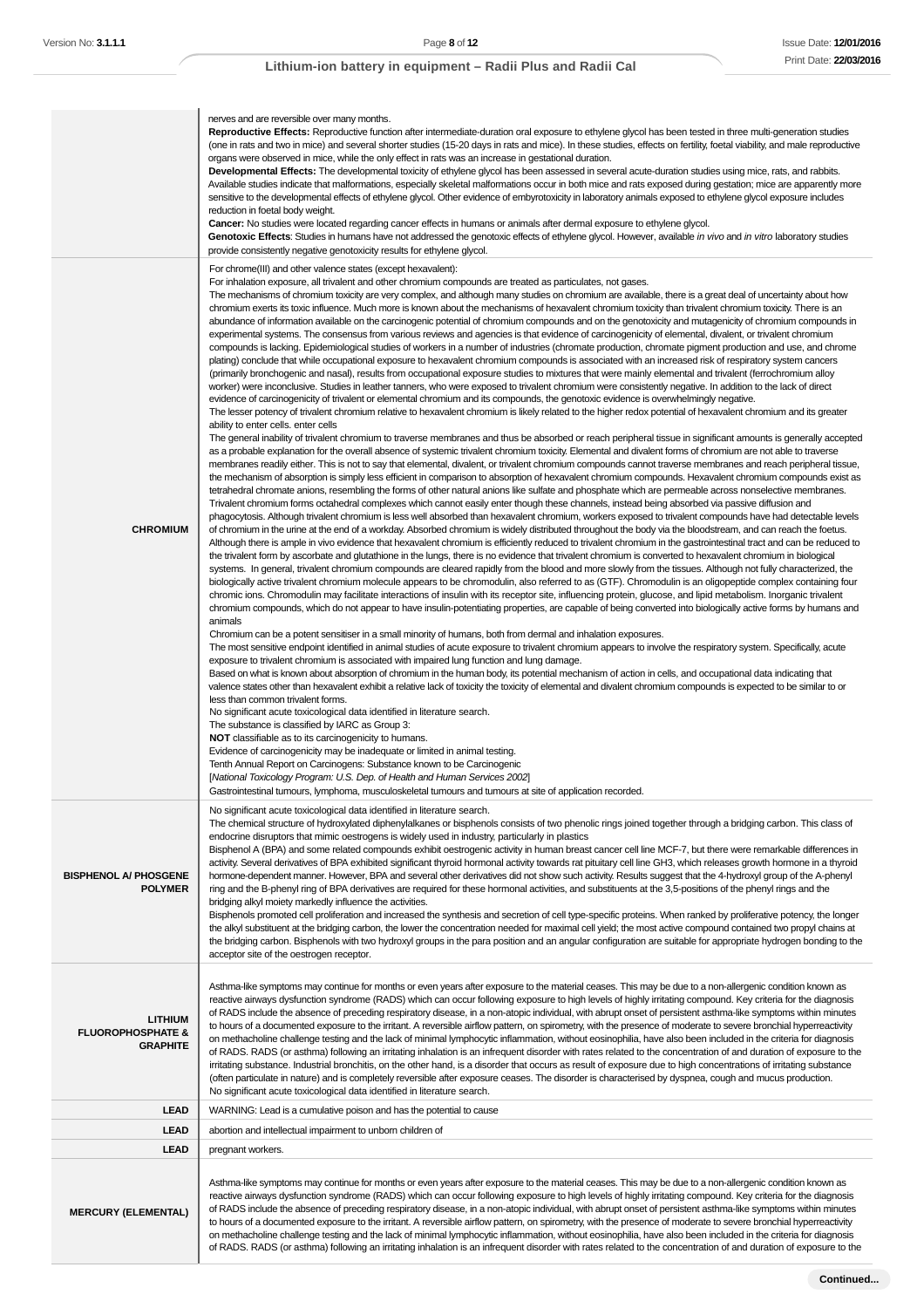|                                                                   | nerves and are reversible over many months.<br>Reproductive Effects: Reproductive function after intermediate-duration oral exposure to ethylene glycol has been tested in three multi-generation studies<br>(one in rats and two in mice) and several shorter studies (15-20 days in rats and mice). In these studies, effects on fertility, foetal viability, and male reproductive<br>organs were observed in mice, while the only effect in rats was an increase in gestational duration.<br>Developmental Effects: The developmental toxicity of ethylene glycol has been assessed in several acute-duration studies using mice, rats, and rabbits.<br>Available studies indicate that malformations, especially skeletal malformations occur in both mice and rats exposed during gestation; mice are apparently more<br>sensitive to the developmental effects of ethylene glycol. Other evidence of embyrotoxicity in laboratory animals exposed to ethylene glycol exposure includes<br>reduction in foetal body weight.<br><b>Cancer:</b> No studies were located regarding cancer effects in humans or animals after dermal exposure to ethylene glycol.<br>Genotoxic Effects: Studies in humans have not addressed the genotoxic effects of ethylene glycol. However, available in vivo and in vitro laboratory studies<br>provide consistently negative genotoxicity results for ethylene glycol.                                                                                                                                                                                                                                                                                                                                                                                                                                                                                                                                                                                                                                                                                                                                                                                                                                                                                                                                                                                                                                                                                                                                                                                                                                                                                                                                                                                                                                                                                                                                                                                                                                                                                                                                                                                                                                                                                                                                                                                                                                                                                                                                                                                                                                                                                                                                                                                                                                                                                                                                                                                                                                                                                                                                                                                                                                                                                                                                                                                                                                                                                                                                                                                                                                                                                                                                                                                                                                                                                                                                                                                                                                                                                                                                                                                                                                                                                                                                                                                                                                                                |
|-------------------------------------------------------------------|-------------------------------------------------------------------------------------------------------------------------------------------------------------------------------------------------------------------------------------------------------------------------------------------------------------------------------------------------------------------------------------------------------------------------------------------------------------------------------------------------------------------------------------------------------------------------------------------------------------------------------------------------------------------------------------------------------------------------------------------------------------------------------------------------------------------------------------------------------------------------------------------------------------------------------------------------------------------------------------------------------------------------------------------------------------------------------------------------------------------------------------------------------------------------------------------------------------------------------------------------------------------------------------------------------------------------------------------------------------------------------------------------------------------------------------------------------------------------------------------------------------------------------------------------------------------------------------------------------------------------------------------------------------------------------------------------------------------------------------------------------------------------------------------------------------------------------------------------------------------------------------------------------------------------------------------------------------------------------------------------------------------------------------------------------------------------------------------------------------------------------------------------------------------------------------------------------------------------------------------------------------------------------------------------------------------------------------------------------------------------------------------------------------------------------------------------------------------------------------------------------------------------------------------------------------------------------------------------------------------------------------------------------------------------------------------------------------------------------------------------------------------------------------------------------------------------------------------------------------------------------------------------------------------------------------------------------------------------------------------------------------------------------------------------------------------------------------------------------------------------------------------------------------------------------------------------------------------------------------------------------------------------------------------------------------------------------------------------------------------------------------------------------------------------------------------------------------------------------------------------------------------------------------------------------------------------------------------------------------------------------------------------------------------------------------------------------------------------------------------------------------------------------------------------------------------------------------------------------------------------------------------------------------------------------------------------------------------------------------------------------------------------------------------------------------------------------------------------------------------------------------------------------------------------------------------------------------------------------------------------------------------------------------------------------------------------------------------------------------------------------------------------------------------------------------------------------------------------------------------------------------------------------------------------------------------------------------------------------------------------------------------------------------------------------------------------------------------------------------------------------------------------------------------------------------------------------------------------------------------------------------------------------------------------------------------------------------------------------------------------------------------------------------------------------------------------------------------------------------------------------------------------------------------------------------------------------------------------------------------------------------------------------------------------------------------------------------------------------------------------------------------------------------------------------------------------------------------------------|
| <b>CHROMIUM</b>                                                   | For chrome(III) and other valence states (except hexavalent):<br>For inhalation exposure, all trivalent and other chromium compounds are treated as particulates, not gases.<br>The mechanisms of chromium toxicity are very complex, and although many studies on chromium are available, there is a great deal of uncertainty about how<br>chromium exerts its toxic influence. Much more is known about the mechanisms of hexavalent chromium toxicity than trivalent chromium toxicity. There is an<br>abundance of information available on the carcinogenic potential of chromium compounds and on the genotoxicity and mutagenicity of chromium compounds in<br>experimental systems. The consensus from various reviews and agencies is that evidence of carcinogenicity of elemental, divalent, or trivalent chromium<br>compounds is lacking. Epidemiological studies of workers in a number of industries (chromate production, chromate pigment production and use, and chrome<br>plating) conclude that while occupational exposure to hexavalent chromium compounds is associated with an increased risk of respiratory system cancers<br>(primarily bronchogenic and nasal), results from occupational exposure studies to mixtures that were mainly elemental and trivalent (ferrochromium alloy<br>worker) were inconclusive. Studies in leather tanners, who were exposed to trivalent chromium were consistently negative. In addition to the lack of direct<br>evidence of carcinogenicity of trivalent or elemental chromium and its compounds, the genotoxic evidence is overwhelmingly negative.<br>The lesser potency of trivalent chromium relative to hexavalent chromium is likely related to the higher redox potential of hexavalent chromium and its greater<br>ability to enter cells. enter cells<br>The general inability of trivalent chromium to traverse membranes and thus be absorbed or reach peripheral tissue in significant amounts is generally accepted<br>as a probable explanation for the overall absence of systemic trivalent chromium toxicity. Elemental and divalent forms of chromium are not able to traverse<br>membranes readily either. This is not to say that elemental, divalent, or trivalent chromium compounds cannot traverse membranes and reach peripheral tissue,<br>the mechanism of absorption is simply less efficient in comparison to absorption of hexavalent chromium compounds. Hexavalent chromium compounds exist as<br>tetrahedral chromate anions, resembling the forms of other natural anions like sulfate and phosphate which are permeable across nonselective membranes.<br>Trivalent chromium forms octahedral complexes which cannot easily enter though these channels, instead being absorbed via passive diffusion and<br>phagocytosis. Although trivalent chromium is less well absorbed than hexavalent chromium, workers exposed to trivalent compounds have had detectable levels<br>of chromium in the urine at the end of a workday. Absorbed chromium is widely distributed throughout the body via the bloodstream, and can reach the foetus.<br>Although there is ample in vivo evidence that hexavalent chromium is efficiently reduced to trivalent chromium in the gastrointestinal tract and can be reduced to<br>the trivalent form by ascorbate and glutathione in the lungs, there is no evidence that trivalent chromium is converted to hexavalent chromium in biological<br>systems. In general, trivalent chromium compounds are cleared rapidly from the blood and more slowly from the tissues. Although not fully characterized, the<br>biologically active trivalent chromium molecule appears to be chromodulin, also referred to as (GTF). Chromodulin is an oligopeptide complex containing four<br>chromic ions. Chromodulin may facilitate interactions of insulin with its receptor site, influencing protein, glucose, and lipid metabolism. Inorganic trivalent<br>chromium compounds, which do not appear to have insulin-potentiating properties, are capable of being converted into biologically active forms by humans and<br>animals<br>Chromium can be a potent sensitiser in a small minority of humans, both from dermal and inhalation exposures.<br>The most sensitive endpoint identified in animal studies of acute exposure to trivalent chromium appears to involve the respiratory system. Specifically, acute<br>exposure to trivalent chromium is associated with impaired lung function and lung damage.<br>Based on what is known about absorption of chromium in the human body, its potential mechanism of action in cells, and occupational data indicating that<br>valence states other than hexavalent exhibit a relative lack of toxicity the toxicity of elemental and divalent chromium compounds is expected to be similar to or<br>less than common trivalent forms.<br>No significant acute toxicological data identified in literature search.<br>The substance is classified by IARC as Group 3:<br><b>NOT</b> classifiable as to its carcinogenicity to humans.<br>Evidence of carcinogenicity may be inadequate or limited in animal testing.<br>Tenth Annual Report on Carcinogens: Substance known to be Carcinogenic<br>[National Toxicology Program: U.S. Dep. of Health and Human Services 2002]<br>Gastrointestinal tumours, lymphoma, musculoskeletal tumours and tumours at site of application recorded. |
| <b>BISPHENOL A/ PHOSGENE</b><br><b>POLYMER</b>                    | No significant acute toxicological data identified in literature search.<br>The chemical structure of hydroxylated diphenylalkanes or bisphenols consists of two phenolic rings joined together through a bridging carbon. This class of<br>endocrine disruptors that mimic oestrogens is widely used in industry, particularly in plastics<br>Bisphenol A (BPA) and some related compounds exhibit oestrogenic activity in human breast cancer cell line MCF-7, but there were remarkable differences in<br>activity. Several derivatives of BPA exhibited significant thyroid hormonal activity towards rat pituitary cell line GH3, which releases growth hormone in a thyroid<br>hormone-dependent manner. However, BPA and several other derivatives did not show such activity. Results suggest that the 4-hydroxyl group of the A-phenyl<br>ring and the B-phenyl ring of BPA derivatives are required for these hormonal activities, and substituents at the 3,5-positions of the phenyl rings and the<br>bridging alkyl moiety markedly influence the activities.<br>Bisphenols promoted cell proliferation and increased the synthesis and secretion of cell type-specific proteins. When ranked by proliferative potency, the longer<br>the alkyl substituent at the bridging carbon, the lower the concentration needed for maximal cell yield; the most active compound contained two propyl chains at<br>the bridging carbon. Bisphenols with two hydroxyl groups in the para position and an angular configuration are suitable for appropriate hydrogen bonding to the<br>acceptor site of the oestrogen receptor.                                                                                                                                                                                                                                                                                                                                                                                                                                                                                                                                                                                                                                                                                                                                                                                                                                                                                                                                                                                                                                                                                                                                                                                                                                                                                                                                                                                                                                                                                                                                                                                                                                                                                                                                                                                                                                                                                                                                                                                                                                                                                                                                                                                                                                                                                                                                                                                                                                                                                                                                                                                                                                                                                                                                                                                                                                                                                                                                                                                                                                                                                                                                                                                                                                                                                                                                                                                                                                                                                                                                                                                                                                                                                                                                                                                                                                            |
| <b>LITHIUM</b><br><b>FLUOROPHOSPHATE &amp;</b><br><b>GRAPHITE</b> | Asthma-like symptoms may continue for months or even years after exposure to the material ceases. This may be due to a non-allergenic condition known as<br>reactive airways dysfunction syndrome (RADS) which can occur following exposure to high levels of highly irritating compound. Key criteria for the diagnosis<br>of RADS include the absence of preceding respiratory disease, in a non-atopic individual, with abrupt onset of persistent asthma-like symptoms within minutes<br>to hours of a documented exposure to the irritant. A reversible airflow pattern, on spirometry, with the presence of moderate to severe bronchial hyperreactivity<br>on methacholine challenge testing and the lack of minimal lymphocytic inflammation, without eosinophilia, have also been included in the criteria for diagnosis<br>of RADS. RADS (or asthma) following an irritating inhalation is an infrequent disorder with rates related to the concentration of and duration of exposure to the<br>irritating substance. Industrial bronchitis, on the other hand, is a disorder that occurs as result of exposure due to high concentrations of irritating substance<br>(often particulate in nature) and is completely reversible after exposure ceases. The disorder is characterised by dyspnea, cough and mucus production.<br>No significant acute toxicological data identified in literature search.                                                                                                                                                                                                                                                                                                                                                                                                                                                                                                                                                                                                                                                                                                                                                                                                                                                                                                                                                                                                                                                                                                                                                                                                                                                                                                                                                                                                                                                                                                                                                                                                                                                                                                                                                                                                                                                                                                                                                                                                                                                                                                                                                                                                                                                                                                                                                                                                                                                                                                                                                                                                                                                                                                                                                                                                                                                                                                                                                                                                                                                                                                                                                                                                                                                                                                                                                                                                                                                                                                                                                                                                                                                                                                                                                                                                                                                                                                                                                                                                                                                           |
| <b>LEAD</b>                                                       | WARNING: Lead is a cumulative poison and has the potential to cause                                                                                                                                                                                                                                                                                                                                                                                                                                                                                                                                                                                                                                                                                                                                                                                                                                                                                                                                                                                                                                                                                                                                                                                                                                                                                                                                                                                                                                                                                                                                                                                                                                                                                                                                                                                                                                                                                                                                                                                                                                                                                                                                                                                                                                                                                                                                                                                                                                                                                                                                                                                                                                                                                                                                                                                                                                                                                                                                                                                                                                                                                                                                                                                                                                                                                                                                                                                                                                                                                                                                                                                                                                                                                                                                                                                                                                                                                                                                                                                                                                                                                                                                                                                                                                                                                                                                                                                                                                                                                                                                                                                                                                                                                                                                                                                                                                                                                                                                                                                                                                                                                                                                                                                                                                                                                                                                                                                                           |
|                                                                   |                                                                                                                                                                                                                                                                                                                                                                                                                                                                                                                                                                                                                                                                                                                                                                                                                                                                                                                                                                                                                                                                                                                                                                                                                                                                                                                                                                                                                                                                                                                                                                                                                                                                                                                                                                                                                                                                                                                                                                                                                                                                                                                                                                                                                                                                                                                                                                                                                                                                                                                                                                                                                                                                                                                                                                                                                                                                                                                                                                                                                                                                                                                                                                                                                                                                                                                                                                                                                                                                                                                                                                                                                                                                                                                                                                                                                                                                                                                                                                                                                                                                                                                                                                                                                                                                                                                                                                                                                                                                                                                                                                                                                                                                                                                                                                                                                                                                                                                                                                                                                                                                                                                                                                                                                                                                                                                                                                                                                                                                               |
| <b>LEAD</b>                                                       | abortion and intellectual impairment to unborn children of                                                                                                                                                                                                                                                                                                                                                                                                                                                                                                                                                                                                                                                                                                                                                                                                                                                                                                                                                                                                                                                                                                                                                                                                                                                                                                                                                                                                                                                                                                                                                                                                                                                                                                                                                                                                                                                                                                                                                                                                                                                                                                                                                                                                                                                                                                                                                                                                                                                                                                                                                                                                                                                                                                                                                                                                                                                                                                                                                                                                                                                                                                                                                                                                                                                                                                                                                                                                                                                                                                                                                                                                                                                                                                                                                                                                                                                                                                                                                                                                                                                                                                                                                                                                                                                                                                                                                                                                                                                                                                                                                                                                                                                                                                                                                                                                                                                                                                                                                                                                                                                                                                                                                                                                                                                                                                                                                                                                                    |
| <b>LEAD</b>                                                       | pregnant workers.                                                                                                                                                                                                                                                                                                                                                                                                                                                                                                                                                                                                                                                                                                                                                                                                                                                                                                                                                                                                                                                                                                                                                                                                                                                                                                                                                                                                                                                                                                                                                                                                                                                                                                                                                                                                                                                                                                                                                                                                                                                                                                                                                                                                                                                                                                                                                                                                                                                                                                                                                                                                                                                                                                                                                                                                                                                                                                                                                                                                                                                                                                                                                                                                                                                                                                                                                                                                                                                                                                                                                                                                                                                                                                                                                                                                                                                                                                                                                                                                                                                                                                                                                                                                                                                                                                                                                                                                                                                                                                                                                                                                                                                                                                                                                                                                                                                                                                                                                                                                                                                                                                                                                                                                                                                                                                                                                                                                                                                             |
| <b>MERCURY (ELEMENTAL)</b>                                        | Asthma-like symptoms may continue for months or even years after exposure to the material ceases. This may be due to a non-allergenic condition known as<br>reactive airways dysfunction syndrome (RADS) which can occur following exposure to high levels of highly irritating compound. Key criteria for the diagnosis<br>of RADS include the absence of preceding respiratory disease, in a non-atopic individual, with abrupt onset of persistent asthma-like symptoms within minutes<br>to hours of a documented exposure to the irritant. A reversible airflow pattern, on spirometry, with the presence of moderate to severe bronchial hyperreactivity<br>on methacholine challenge testing and the lack of minimal lymphocytic inflammation, without eosinophilia, have also been included in the criteria for diagnosis<br>of RADS. RADS (or asthma) following an irritating inhalation is an infrequent disorder with rates related to the concentration of and duration of exposure to the                                                                                                                                                                                                                                                                                                                                                                                                                                                                                                                                                                                                                                                                                                                                                                                                                                                                                                                                                                                                                                                                                                                                                                                                                                                                                                                                                                                                                                                                                                                                                                                                                                                                                                                                                                                                                                                                                                                                                                                                                                                                                                                                                                                                                                                                                                                                                                                                                                                                                                                                                                                                                                                                                                                                                                                                                                                                                                                                                                                                                                                                                                                                                                                                                                                                                                                                                                                                                                                                                                                                                                                                                                                                                                                                                                                                                                                                                                                                                                                                                                                                                                                                                                                                                                                                                                                                                                                                                                                                        |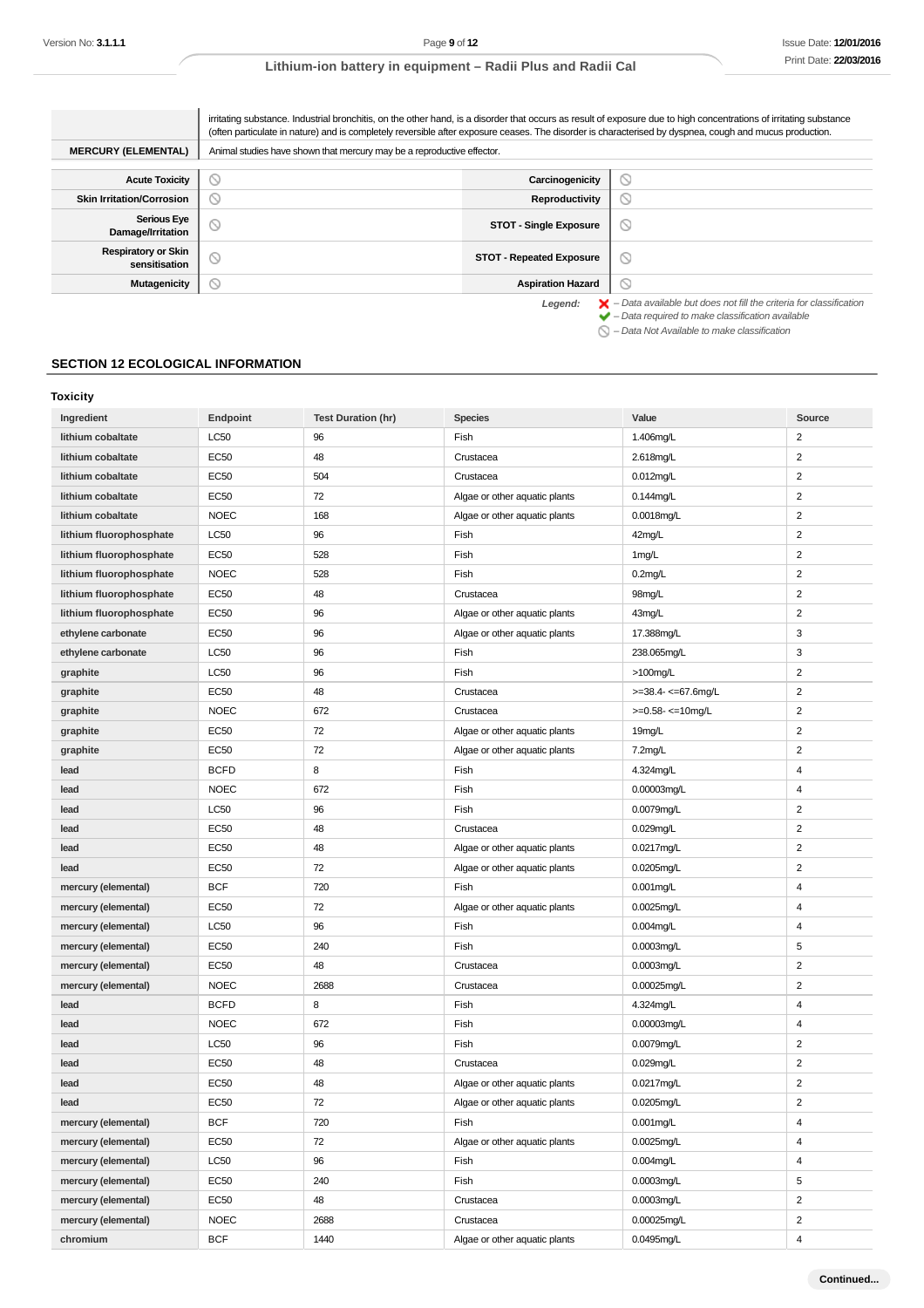|                                             | irritating substance. Industrial bronchitis, on the other hand, is a disorder that occurs as result of exposure due to high concentrations of irritating substance<br>(often particulate in nature) and is completely reversible after exposure ceases. The disorder is characterised by dyspnea, cough and mucus production. |                                 |                                                                                                                                                                    |
|---------------------------------------------|-------------------------------------------------------------------------------------------------------------------------------------------------------------------------------------------------------------------------------------------------------------------------------------------------------------------------------|---------------------------------|--------------------------------------------------------------------------------------------------------------------------------------------------------------------|
| <b>MERCURY (ELEMENTAL)</b>                  | Animal studies have shown that mercury may be a reproductive effector.                                                                                                                                                                                                                                                        |                                 |                                                                                                                                                                    |
| <b>Acute Toxicity</b>                       | $\sim$                                                                                                                                                                                                                                                                                                                        | Carcinogenicity                 | Ø                                                                                                                                                                  |
| <b>Skin Irritation/Corrosion</b>            | $\circ$                                                                                                                                                                                                                                                                                                                       | Reproductivity                  | $\circledcirc$                                                                                                                                                     |
| <b>Serious Eye</b><br>Damage/Irritation     | $\circ$                                                                                                                                                                                                                                                                                                                       | <b>STOT - Single Exposure</b>   | ◎                                                                                                                                                                  |
| <b>Respiratory or Skin</b><br>sensitisation | $\circ$                                                                                                                                                                                                                                                                                                                       | <b>STOT - Repeated Exposure</b> | ◎                                                                                                                                                                  |
| Mutagenicity                                | $\circlearrowright$                                                                                                                                                                                                                                                                                                           | <b>Aspiration Hazard</b>        | ல                                                                                                                                                                  |
|                                             |                                                                                                                                                                                                                                                                                                                               | Legend:                         | $\blacktriangleright$ - Data available but does not fill the criteria for classification<br>$\blacktriangleright$ - Data required to make classification available |

– Data Not Available to make classification

## **SECTION 12 ECOLOGICAL INFORMATION**

#### **Toxicity**

| Ingredient              | Endpoint         | <b>Test Duration (hr)</b> | <b>Species</b>                | Value                    | Source                  |
|-------------------------|------------------|---------------------------|-------------------------------|--------------------------|-------------------------|
| lithium cobaltate       | LC50             | 96                        | Fish                          | 1.406mg/L                | $\overline{c}$          |
| lithium cobaltate       | <b>EC50</b>      | 48                        | Crustacea                     | 2.618mg/L                | $\overline{c}$          |
| lithium cobaltate       | <b>EC50</b>      | 504                       | Crustacea                     | 0.012mg/L                | $\overline{c}$          |
| lithium cobaltate       | <b>EC50</b>      | 72                        | Algae or other aquatic plants | $0.144$ mg/L             | $\overline{c}$          |
| lithium cobaltate       | <b>NOEC</b>      | 168                       | Algae or other aquatic plants | 0.0018mg/L               | $\overline{c}$          |
| lithium fluorophosphate | <b>LC50</b>      | 96                        | Fish                          | 42mg/L                   | $\overline{c}$          |
| lithium fluorophosphate | <b>EC50</b>      | 528                       | Fish                          | 1mg/L                    | $\overline{c}$          |
| lithium fluorophosphate | <b>NOEC</b>      | 528                       | Fish                          | $0.2$ mg/L               | 2                       |
| lithium fluorophosphate | <b>EC50</b>      | 48                        | Crustacea                     | 98mg/L                   | $\overline{2}$          |
| lithium fluorophosphate | EC50             | 96                        | Algae or other aquatic plants | 43mg/L                   | 2                       |
| ethylene carbonate      | <b>EC50</b>      | 96                        | Algae or other aquatic plants | 17.388mg/L               | 3                       |
| ethylene carbonate      | LC50             | 96                        | Fish                          | 238.065mg/L              | 3                       |
| graphite                | LC50             | 96                        | Fish                          | >100mg/L                 | $\overline{c}$          |
| graphite                | <b>EC50</b>      | 48                        | Crustacea                     | $>=$ 38.4- $<=$ 67.6mg/L | $\overline{c}$          |
| graphite                | <b>NOEC</b>      | 672                       | Crustacea                     | $>=0.58 - 10$ mg/L       | $\overline{c}$          |
| graphite                | <b>EC50</b>      | 72                        | Algae or other aquatic plants | 19mg/L                   | $\overline{c}$          |
| graphite                | <b>EC50</b>      | 72                        | Algae or other aquatic plants | 7.2mg/L                  | $\overline{\mathbf{c}}$ |
| lead                    | <b>BCFD</b>      | 8                         | Fish                          | 4.324mg/L                | 4                       |
| lead                    | <b>NOEC</b>      | 672                       | Fish                          | 0.00003mg/L              | 4                       |
| lead                    | <b>LC50</b>      | 96                        | Fish                          | 0.0079mg/L               | 2                       |
| lead                    | <b>EC50</b>      | 48                        | Crustacea                     | 0.029mg/L                | $\overline{2}$          |
| lead                    | <b>EC50</b>      | 48                        | Algae or other aquatic plants | 0.0217mg/L               | $\overline{c}$          |
| lead                    | EC50             | 72                        | Algae or other aquatic plants | 0.0205mg/L               | 2                       |
| mercury (elemental)     | <b>BCF</b>       | 720                       | Fish                          | 0.001mg/L                | 4                       |
| mercury (elemental)     | EC50             | 72                        | Algae or other aquatic plants | 0.0025mg/L               | 4                       |
| mercury (elemental)     | <b>LC50</b>      | 96                        | Fish                          | $0.004$ mg/L             | 4                       |
| mercury (elemental)     | <b>EC50</b>      | 240                       | Fish                          | $0.0003$ mg/L            | 5                       |
| mercury (elemental)     | <b>EC50</b>      | 48                        | Crustacea                     | 0.0003mg/L               | $\overline{c}$          |
| mercury (elemental)     | <b>NOEC</b>      | 2688                      | Crustacea                     | 0.00025mg/L              | $\overline{2}$          |
| lead                    | <b>BCFD</b>      | 8                         | Fish                          | 4.324mg/L                | 4                       |
| lead                    | <b>NOEC</b>      | 672                       | Fish                          | 0.00003mg/L              | 4                       |
| lead                    | LC50             | 96                        | Fish                          | 0.0079mg/L               | $\overline{c}$          |
| lead                    | <b>EC50</b>      | 48                        | Crustacea                     | 0.029mg/L                | 2                       |
| lead                    | <b>EC50</b>      | 48                        | Algae or other aquatic plants | 0.0217mg/L               | $\overline{c}$          |
| lead                    | EC50             | 72                        | Algae or other aquatic plants | 0.0205mg/L               | $\overline{\mathbf{c}}$ |
| mercury (elemental)     | <b>BCF</b>       | 720                       | Fish                          | 0.001mg/L                | 4                       |
| mercury (elemental)     | EC50             | 72                        | Algae or other aquatic plants | $0.0025$ mg/L            | 4                       |
| mercury (elemental)     | LC50             | 96                        | Fish                          | 0.004mg/L                | 4                       |
| mercury (elemental)     | <b>EC50</b>      | 240                       | Fish                          | 0.0003mg/L               | 5                       |
| mercury (elemental)     | EC <sub>50</sub> | 48                        | Crustacea                     | 0.0003mg/L               | $\overline{2}$          |
| mercury (elemental)     | <b>NOEC</b>      | 2688                      | Crustacea                     | 0.00025mg/L              | $\overline{a}$          |
| chromium                | <b>BCF</b>       | 1440                      | Algae or other aquatic plants | 0.0495mg/L               | 4                       |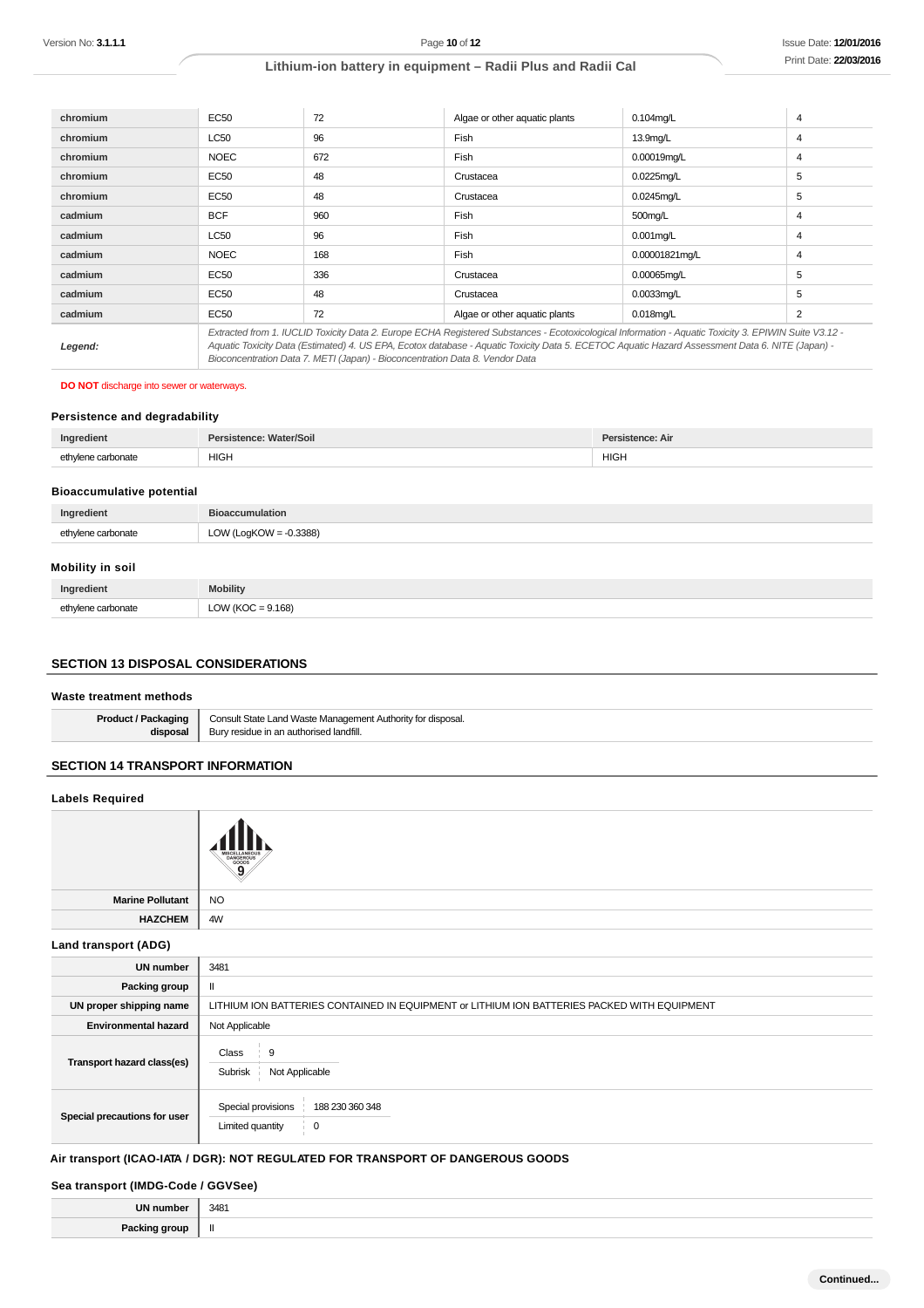| chromium | EC50                                                                                                                                                                                                                                                                                                     | 72  | Algae or other aquatic plants | $0.104$ mg/L   | 4              |
|----------|----------------------------------------------------------------------------------------------------------------------------------------------------------------------------------------------------------------------------------------------------------------------------------------------------------|-----|-------------------------------|----------------|----------------|
|          |                                                                                                                                                                                                                                                                                                          |     |                               |                |                |
| chromium | LC50                                                                                                                                                                                                                                                                                                     | 96  | Fish                          | 13.9mg/L       | 4              |
| chromium | <b>NOEC</b>                                                                                                                                                                                                                                                                                              | 672 | Fish                          | 0.00019mg/L    | $\overline{4}$ |
| chromium | <b>EC50</b>                                                                                                                                                                                                                                                                                              | 48  | Crustacea                     | $0.0225$ mg/L  | 5              |
| chromium | <b>EC50</b>                                                                                                                                                                                                                                                                                              | 48  | Crustacea                     | $0.0245$ mg/L  | 5              |
| cadmium  | <b>BCF</b>                                                                                                                                                                                                                                                                                               | 960 | Fish                          | 500mg/L        | 4              |
| cadmium  | LC50                                                                                                                                                                                                                                                                                                     | 96  | Fish                          | $0.001$ mg/L   | 4              |
| cadmium  | <b>NOEC</b>                                                                                                                                                                                                                                                                                              | 168 | Fish                          | 0.00001821mg/L | $\overline{4}$ |
| cadmium  | EC50                                                                                                                                                                                                                                                                                                     | 336 | Crustacea                     | $0.00065$ mg/L | 5              |
| cadmium  | <b>EC50</b>                                                                                                                                                                                                                                                                                              | 48  | Crustacea                     | $0.0033$ mg/L  | 5              |
| cadmium  | <b>EC50</b>                                                                                                                                                                                                                                                                                              | 72  | Algae or other aquatic plants | $0.018$ mg/L   | 2              |
| Legend:  | Extracted from 1. IUCLID Toxicity Data 2. Europe ECHA Registered Substances - Ecotoxicological Information - Aquatic Toxicity 3. EPIWIN Suite V3.12 -<br>Aquatic Toxicity Data (Estimated) 4. US EPA, Ecotox database - Aquatic Toxicity Data 5. ECETOC Aquatic Hazard Assessment Data 6. NITE (Japan) - |     |                               |                |                |

**DO NOT** discharge into sewer or waterways.

## **Persistence and degradability**

| Ingredient                               | Persistence: Water/Soil | Persistence: Air |
|------------------------------------------|-------------------------|------------------|
| ethvlen <sub>o</sub><br>e carbonate<br>. | <b>HIGH</b>             | <b>HIGH</b>      |

Bioconcentration Data 7. METI (Japan) - Bioconcentration Data 8. Vendor Data

#### **Bioaccumulative potential**

| Ingredient         | <b>Bioaccumulation</b>    |
|--------------------|---------------------------|
| ethylene carbonate | LOW (LogKOW = $-0.3388$ ) |

### **Mobility in soil**

| Ingredient                      | Mobility                                           |
|---------------------------------|----------------------------------------------------|
| e carbonate<br><b>Athy</b><br>. | .168)<br>$\bigcap_{\Lambda}$<br>້<br>$\sim$ $\sim$ |

## **SECTION 13 DISPOSAL CONSIDERATIONS**

#### **Waste treatment methods**

| <b>Product / Packaging</b><br>disnosal | Consult State Land Waste Management Authority for disposal.<br>uthorised landfill.<br>** residue in an au. |
|----------------------------------------|------------------------------------------------------------------------------------------------------------|
|----------------------------------------|------------------------------------------------------------------------------------------------------------|

## **SECTION 14 TRANSPORT INFORMATION**

## **Labels Required**

|                         | MISCELLANEOUS<br>DANGEROUS |
|-------------------------|----------------------------|
| <b>Marine Pollutant</b> | <b>NO</b>                  |
| <b>HAZCHEM</b>          | 4W                         |

#### **Land transport (ADG)**

| <b>UN number</b>             | 3481                                                                                        |
|------------------------------|---------------------------------------------------------------------------------------------|
| Packing group                |                                                                                             |
| UN proper shipping name      | LITHIUM ION BATTERIES CONTAINED IN EQUIPMENT or LITHIUM ION BATTERIES PACKED WITH EQUIPMENT |
| <b>Environmental hazard</b>  | Not Applicable                                                                              |
| Transport hazard class(es)   | Class<br>9<br>Subrisk<br>Not Applicable                                                     |
| Special precautions for user | Special provisions<br>188 230 360 348<br>Limited quantity<br>$\mathbf 0$                    |

#### **Air transport (ICAO-IATA / DGR): NOT REGULATED FOR TRANSPORT OF DANGEROUS GOODS**

## **Sea transport (IMDG-Code / GGVSee)**

| 1 I K | 348' |
|-------|------|
|       |      |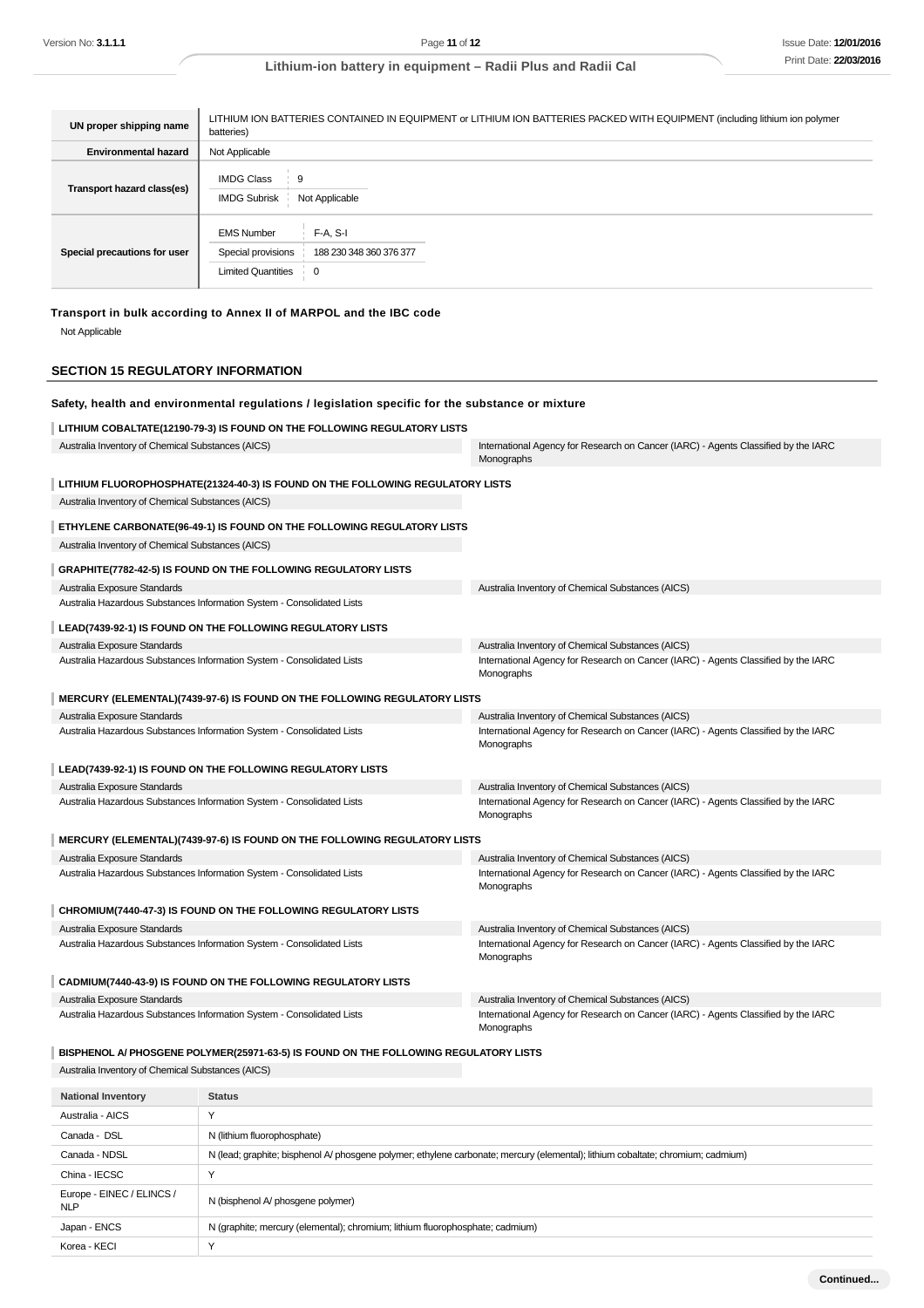| UN proper shipping name      | LITHIUM ION BATTERIES CONTAINED IN EQUIPMENT or LITHIUM ION BATTERIES PACKED WITH EQUIPMENT (including lithium ion polymer<br>batteries) |  |  |
|------------------------------|------------------------------------------------------------------------------------------------------------------------------------------|--|--|
| <b>Environmental hazard</b>  | Not Applicable                                                                                                                           |  |  |
| Transport hazard class(es)   | <b>IMDG Class</b><br>9<br><b>IMDG Subrisk</b><br>Not Applicable                                                                          |  |  |
| Special precautions for user | <b>EMS Number</b><br>$F-A. S-I$<br>Special provisions<br>188 230 348 360 376 377<br><b>Limited Quantities</b><br>0                       |  |  |

# **Transport in bulk according to Annex II of MARPOL and the IBC code**

Not Applicable

## **SECTION 15 REGULATORY INFORMATION**

| Safety, health and environmental regulations / legislation specific for the substance or mixture       |                                                                                      |                                                                                                                                         |
|--------------------------------------------------------------------------------------------------------|--------------------------------------------------------------------------------------|-----------------------------------------------------------------------------------------------------------------------------------------|
|                                                                                                        | LITHIUM COBALTATE(12190-79-3) IS FOUND ON THE FOLLOWING REGULATORY LISTS             |                                                                                                                                         |
| Australia Inventory of Chemical Substances (AICS)                                                      |                                                                                      | International Agency for Research on Cancer (IARC) - Agents Classified by the IARC<br>Monographs                                        |
|                                                                                                        | LITHIUM FLUOROPHOSPHATE(21324-40-3) IS FOUND ON THE FOLLOWING REGULATORY LISTS       |                                                                                                                                         |
| Australia Inventory of Chemical Substances (AICS)                                                      |                                                                                      |                                                                                                                                         |
|                                                                                                        | ETHYLENE CARBONATE(96-49-1) IS FOUND ON THE FOLLOWING REGULATORY LISTS               |                                                                                                                                         |
| Australia Inventory of Chemical Substances (AICS)                                                      |                                                                                      |                                                                                                                                         |
|                                                                                                        |                                                                                      |                                                                                                                                         |
|                                                                                                        | GRAPHITE(7782-42-5) IS FOUND ON THE FOLLOWING REGULATORY LISTS                       |                                                                                                                                         |
| Australia Exposure Standards                                                                           | Australia Hazardous Substances Information System - Consolidated Lists               | Australia Inventory of Chemical Substances (AICS)                                                                                       |
|                                                                                                        |                                                                                      |                                                                                                                                         |
|                                                                                                        | LEAD(7439-92-1) IS FOUND ON THE FOLLOWING REGULATORY LISTS                           |                                                                                                                                         |
| Australia Exposure Standards                                                                           | Australia Hazardous Substances Information System - Consolidated Lists               | Australia Inventory of Chemical Substances (AICS)<br>International Agency for Research on Cancer (IARC) - Agents Classified by the IARC |
|                                                                                                        |                                                                                      | Monographs                                                                                                                              |
|                                                                                                        | MERCURY (ELEMENTAL)(7439-97-6) IS FOUND ON THE FOLLOWING REGULATORY LISTS            |                                                                                                                                         |
| Australia Exposure Standards                                                                           |                                                                                      | Australia Inventory of Chemical Substances (AICS)                                                                                       |
|                                                                                                        | Australia Hazardous Substances Information System - Consolidated Lists               | International Agency for Research on Cancer (IARC) - Agents Classified by the IARC                                                      |
|                                                                                                        |                                                                                      | Monographs                                                                                                                              |
|                                                                                                        | LEAD(7439-92-1) IS FOUND ON THE FOLLOWING REGULATORY LISTS                           |                                                                                                                                         |
| Australia Exposure Standards                                                                           |                                                                                      | Australia Inventory of Chemical Substances (AICS)                                                                                       |
| Australia Hazardous Substances Information System - Consolidated Lists                                 |                                                                                      | International Agency for Research on Cancer (IARC) - Agents Classified by the IARC                                                      |
|                                                                                                        |                                                                                      | Monographs                                                                                                                              |
|                                                                                                        | MERCURY (ELEMENTAL)(7439-97-6) IS FOUND ON THE FOLLOWING REGULATORY LISTS            |                                                                                                                                         |
| Australia Exposure Standards                                                                           |                                                                                      | Australia Inventory of Chemical Substances (AICS)                                                                                       |
|                                                                                                        | Australia Hazardous Substances Information System - Consolidated Lists               | International Agency for Research on Cancer (IARC) - Agents Classified by the IARC<br>Monographs                                        |
|                                                                                                        |                                                                                      |                                                                                                                                         |
|                                                                                                        | CHROMIUM(7440-47-3) IS FOUND ON THE FOLLOWING REGULATORY LISTS                       |                                                                                                                                         |
| Australia Exposure Standards                                                                           |                                                                                      | Australia Inventory of Chemical Substances (AICS)                                                                                       |
|                                                                                                        | Australia Hazardous Substances Information System - Consolidated Lists               | International Agency for Research on Cancer (IARC) - Agents Classified by the IARC<br>Monographs                                        |
|                                                                                                        |                                                                                      |                                                                                                                                         |
|                                                                                                        | CADMIUM(7440-43-9) IS FOUND ON THE FOLLOWING REGULATORY LISTS                        |                                                                                                                                         |
| Australia Exposure Standards<br>Australia Hazardous Substances Information System - Consolidated Lists |                                                                                      | Australia Inventory of Chemical Substances (AICS)<br>International Agency for Research on Cancer (IARC) - Agents Classified by the IARC |
|                                                                                                        |                                                                                      | Monographs                                                                                                                              |
|                                                                                                        | BISPHENOL A/ PHOSGENE POLYMER(25971-63-5) IS FOUND ON THE FOLLOWING REGULATORY LISTS |                                                                                                                                         |
| Australia Inventory of Chemical Substances (AICS)                                                      |                                                                                      |                                                                                                                                         |
|                                                                                                        |                                                                                      |                                                                                                                                         |
| <b>National Inventory</b>                                                                              | <b>Status</b>                                                                        |                                                                                                                                         |
| Australia - AICS                                                                                       | Υ                                                                                    |                                                                                                                                         |
| Canada - DSL                                                                                           | N (lithium fluorophosphate)                                                          |                                                                                                                                         |
| Canada - NDSL                                                                                          |                                                                                      | N (lead; graphite; bisphenol A/ phosgene polymer; ethylene carbonate; mercury (elemental); lithium cobaltate; chromium; cadmium)        |

| China - IECSC                           |                                                                               |
|-----------------------------------------|-------------------------------------------------------------------------------|
| Europe - EINEC / ELINCS /<br><b>NLP</b> | N (bisphenol A/ phosgene polymer)                                             |
| Japan - ENCS                            | N (graphite; mercury (elemental); chromium; lithium fluorophosphate; cadmium) |
| Korea - KECI                            |                                                                               |
|                                         |                                                                               |